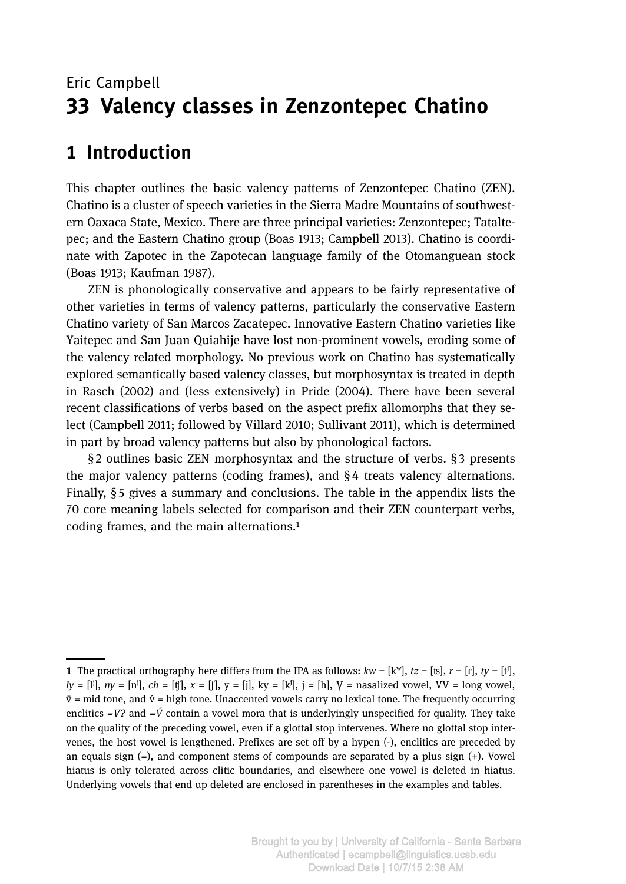# Eric Campbell **33 Valency classes in Zenzontepec Chatino**

# **1 Introduction**

This chapter outlines the basic valency patterns of Zenzontepec Chatino (ZEN). Chatino is a cluster of speech varieties in the Sierra Madre Mountains of southwestern Oaxaca State, Mexico. There are three principal varieties: Zenzontepec; Tataltepec; and the Eastern Chatino group (Boas 1913; Campbell 2013). Chatino is coordinate with Zapotec in the Zapotecan language family of the Otomanguean stock (Boas 1913; Kaufman 1987).

ZEN is phonologically conservative and appears to be fairly representative of other varieties in terms of valency patterns, particularly the conservative Eastern Chatino variety of San Marcos Zacatepec. Innovative Eastern Chatino varieties like Yaitepec and San Juan Quiahije have lost non-prominent vowels, eroding some of the valency related morphology. No previous work on Chatino has systematically explored semantically based valency classes, but morphosyntax is treated in depth in Rasch (2002) and (less extensively) in Pride (2004). There have been several recent classifications of verbs based on the aspect prefix allomorphs that they select (Campbell 2011; followed by Villard 2010; Sullivant 2011), which is determined in part by broad valency patterns but also by phonological factors.

§ 2 outlines basic ZEN morphosyntax and the structure of verbs. § 3 presents the major valency patterns (coding frames), and  $\S 4$  treats valency alternations. Finally, §5 gives a summary and conclusions. The table in the appendix lists the 70 core meaning labels selected for comparison and their ZEN counterpart verbs, coding frames, and the main alternations.<sup>1</sup>

**<sup>1</sup>** The practical orthography here differs from the IPA as follows:  $kw = [k^w]$ ,  $tz = [ts]$ ,  $r = [r]$ ,  $ty = [t^i]$ ,  $lv = [v]$ ,  $nv = [n^j]$ ,  $ch = [f]$ ,  $x = [f]$ ,  $y = [i]$ ,  $kv = [k^j]$ ,  $i = [h]$ ,  $V =$  nasalized vowel,  $VV =$  long vowel,  $\bar{v}$  = mid tone, and  $\dot{v}$  = high tone. Unaccented vowels carry no lexical tone. The frequently occurring enclitics  $=V^2$  and  $=V$  contain a vowel mora that is underlyingly unspecified for quality. They take on the quality of the preceding vowel, even if a glottal stop intervenes. Where no glottal stop intervenes, the host vowel is lengthened. Prefixes are set off by a hypen (-), enclitics are preceded by an equals sign  $(=)$ , and component stems of compounds are separated by a plus sign  $(+)$ . Vowel hiatus is only tolerated across clitic boundaries, and elsewhere one vowel is deleted in hiatus. Underlying vowels that end up deleted are enclosed in parentheses in the examples and tables.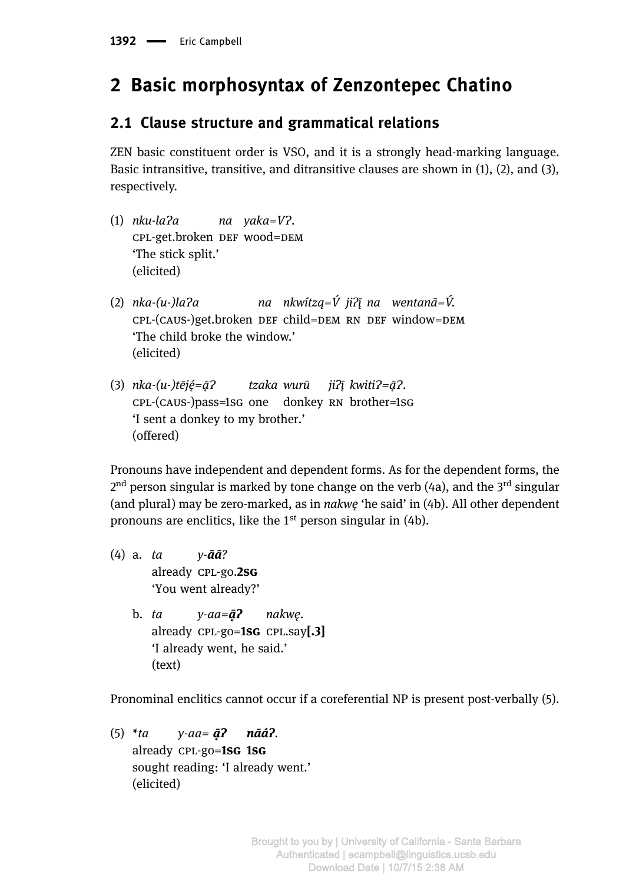# **2 Basic morphosyntax of Zenzontepec Chatino**

## **2.1 Clause structure and grammatical relations**

ZEN basic constituent order is VSO, and it is a strongly head-marking language. Basic intransitive, transitive, and ditransitive clauses are shown in (1), (2), and (3), respectively.

- (1) *nku-laɁa na yaka=VɁ*. cpl-get.broken def wood=dem 'The stick split.' (elicited)
- (2) *nka-(u-)laɁa na nkwítzą=V́ jiʔī ̨ na wentanā=V́* . cpl-(caus-)get.broken def child=dem rn def window=dem 'The child broke the window.' (elicited)
- (3) *nka-(u-)tējé=ą̄ Ɂ tzaka wurū jiʔī ̨ ̨ kwitiɁ=āɁ̨* . cpl-(caus-)pass=1sg one donkey rn brother=1sg 'I sent a donkey to my brother.' (offered)

Pronouns have independent and dependent forms. As for the dependent forms, the  $2<sup>nd</sup>$  person singular is marked by tone change on the verb (4a), and the  $3<sup>rd</sup>$  singular (and plural) may be zero-marked, as in *nakwę* 'he said' in (4b). All other dependent pronouns are enclitics, like the  $1<sup>st</sup>$  person singular in (4b).

- (4) a. *ta y-āā?* already cpl-go.**2sg** 'You went already?'
	- b. *ta y-aa=āʔ̨ nakwę*. already cpl-go=**1sg** cpl.say**[.3]** 'I already went, he said.' (text)

Pronominal enclitics cannot occur if a coreferential NP is present post-verbally (5).

(5) *\*ta y-aa= āʔ nāáʔ ̨* . already cpl-go=**1sg 1sg** sought reading: 'I already went.' (elicited)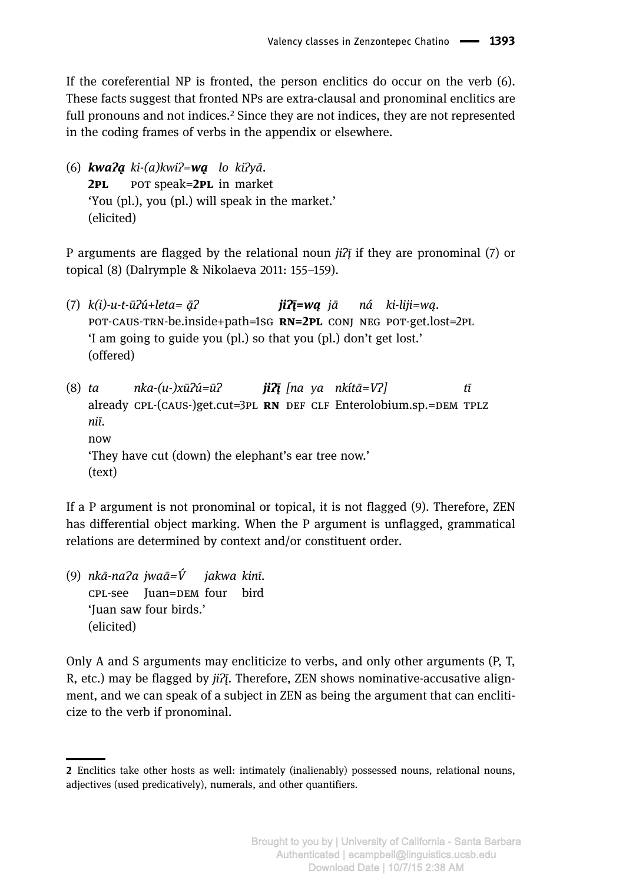If the coreferential NP is fronted, the person enclitics do occur on the verb (6). These facts suggest that fronted NPs are extra-clausal and pronominal enclitics are full pronouns and not indices.<sup>2</sup> Since they are not indices, they are not represented in the coding frames of verbs in the appendix or elsewhere.

(6) *kwaʔą ki-(a)kwiʔ=wą lo kiʔyā*. **2pl** pot speak=**2pl** in market 'You (pl.), you (pl.) will speak in the market.' (elicited)

P arguments are flagged by the relational noun *ji* $\overline{\partial}$ *i* if they are pronominal (7) or topical (8) (Dalrymple & Nikolaeva 2011: 155–159).

- (7) *k(i)-u-t-ūʔú*+*leta= āʔ̨ jiʔī=wą ̨ jā ná ki-liji=wą*. pot-caus-trn-be.inside+path=1sg **rn=2pl** conj neg pot-get.lost=2pl 'I am going to guide you (pl.) so that you (pl.) don't get lost.' (offered)
- (8) *ta nka-(u-)xūʔú=ūʔ jiʔī ̨ [na ya nkítā=Vʔ] tī* already CPL-(CAUS-)get.cut=3PL RN DEF CLF Enterolobium.sp.=DEM TPLZ *niī*. now 'They have cut (down) the elephant's ear tree now.' (text)

If a P argument is not pronominal or topical, it is not flagged (9). Therefore, ZEN has differential object marking. When the P argument is unflagged, grammatical relations are determined by context and/or constituent order.

(9) *nkā-naɁa jwaā=V́ jakwa kinī*. cpl-see Juan=dem four bird 'Juan saw four birds.' (elicited)

Only A and S arguments may encliticize to verbs, and only other arguments (P, T, R, etc.) may be flagged by *jiʔī*. Therefore, ZEN shows nominative-accusative align- *̨* ment, and we can speak of a subject in ZEN as being the argument that can encliticize to the verb if pronominal.

**<sup>2</sup>** Enclitics take other hosts as well: intimately (inalienably) possessed nouns, relational nouns, adjectives (used predicatively), numerals, and other quantifiers.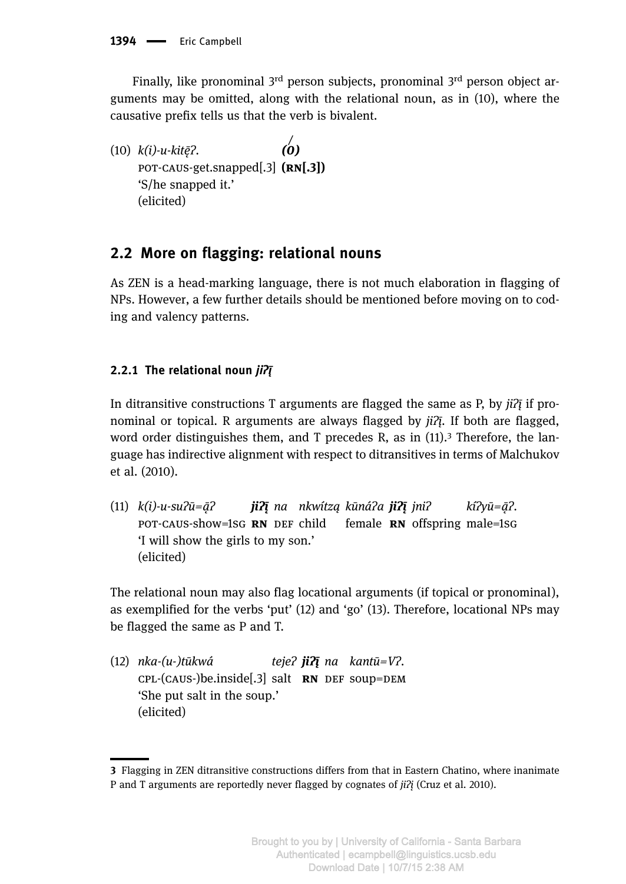Finally, like pronominal  $3<sup>rd</sup>$  person subjects, pronominal  $3<sup>rd</sup>$  person object arguments may be omitted, along with the relational noun, as in (10), where the causative prefix tells us that the verb is bivalent.

(10) *k(i)-u-kitēʔ̨* . *(0***̸** *)* pot-caus-get.snapped[.3] **(rn[.3])** 'S/he snapped it.' (elicited)

## **2.2 More on flagging: relational nouns**

As ZEN is a head-marking language, there is not much elaboration in flagging of NPs. However, a few further details should be mentioned before moving on to coding and valency patterns.

### **2.2.1 The relational noun** *jiʔī ̨*

In ditransitive constructions T arguments are flagged the same as P, by *jiʔī ̨* if pronominal or topical. R arguments are always flagged by  $ji\overline{\lambda}$ . If both are flagged, word order distinguishes them, and T precedes R, as in  $(11).<sup>3</sup>$  Therefore, the language has indirective alignment with respect to ditransitives in terms of Malchukov et al. (2010).

(11) *k(i)-u-suʔū=āʔ̨ jiʔī ̨ na nkwítzą kūnáʔa jiʔī ̨ jniʔ kíʔyū=āʔ̨* . pot-caus-show=1sg **RN** DEF child female **RN** offspring male=1sg 'I will show the girls to my son.' (elicited)

The relational noun may also flag locational arguments (if topical or pronominal), as exemplified for the verbs 'put' (12) and 'go' (13). Therefore, locational NPs may be flagged the same as P and T.

(12) *nka-(u-)tūkwá tejeʔ jiʔī ̨ na kantū=Vʔ*. cpl-(caus-)be.inside[.3] salt **rn** def soup=dem 'She put salt in the soup.' (elicited)

**<sup>3</sup>** Flagging in ZEN ditransitive constructions differs from that in Eastern Chatino, where inanimate P and T arguments are reportedly never flagged by cognates of *jiʔi ̨*(Cruz et al. 2010).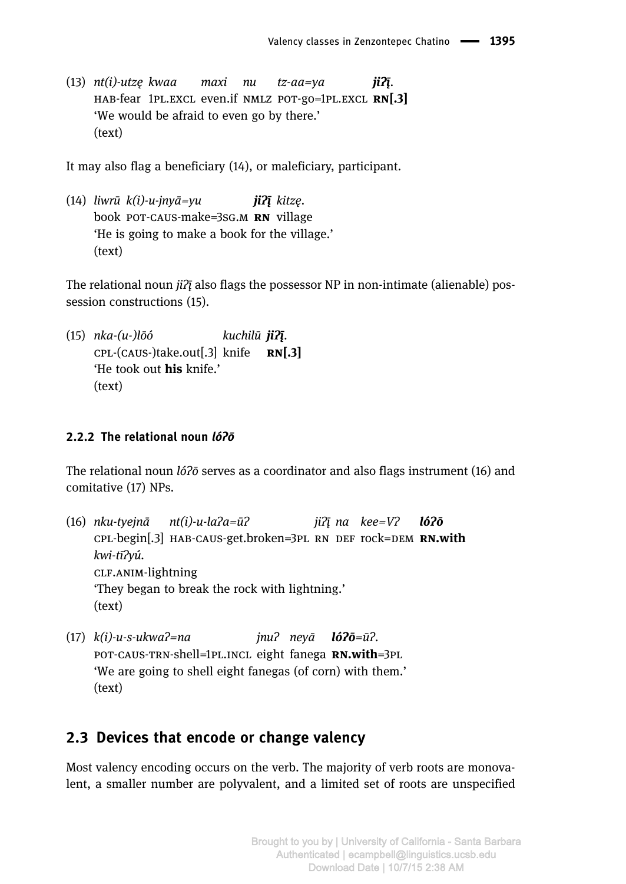(13) *nt(i)-utzę kwaa maxi nu tz-aa=ya jiʔī*.*̨* hab-fear 1pl.excl even.if nmlz pot-go=1pl.excl **rn[.3]** 'We would be afraid to even go by there.' (text)

It may also flag a beneficiary (14), or maleficiary, participant.

(14)  $\lim_{h \to 0} k(i) - u - j n v \bar{a} = v u$  *jiʔī kitze*. book pot-caus-make=3sg.m **rn** village 'He is going to make a book for the village.' (text)

The relational noun *jiʔī* also flags the possessor NP in non-intimate (alienable) possession constructions (15).

(15) *nka-(u-)lōó kuchilū jiʔī*.*̨* cpl-(caus-)take.out[.3] knife **rn[.3]** 'He took out **his** knife.' (text)

#### **2.2.2 The relational noun** *lóʔō*

The relational noun *lóʔō* serves as a coordinator and also flags instrument (16) and comitative (17) NPs.

- (16) *nku-tyejnā nt(i)-u-laʔa=ūʔ jiʔī ̨ na kee=Vʔ lóʔō* cpl-begin[.3] hab-caus-get.broken=3pl rn def rock=dem **rn.with** *kwi-tīʔyú.* clf.anim-lightning 'They began to break the rock with lightning.' (text)
- (17) *k(i)-u-s-ukwaʔ=na jnuʔ neyā lóʔō=ūʔ*. pot-caus-trn-shell=1pl.incl eight fanega **rn.with**=3pl 'We are going to shell eight fanegas (of corn) with them.' (text)

### **2.3 Devices that encode or change valency**

Most valency encoding occurs on the verb. The majority of verb roots are monovalent, a smaller number are polyvalent, and a limited set of roots are unspecified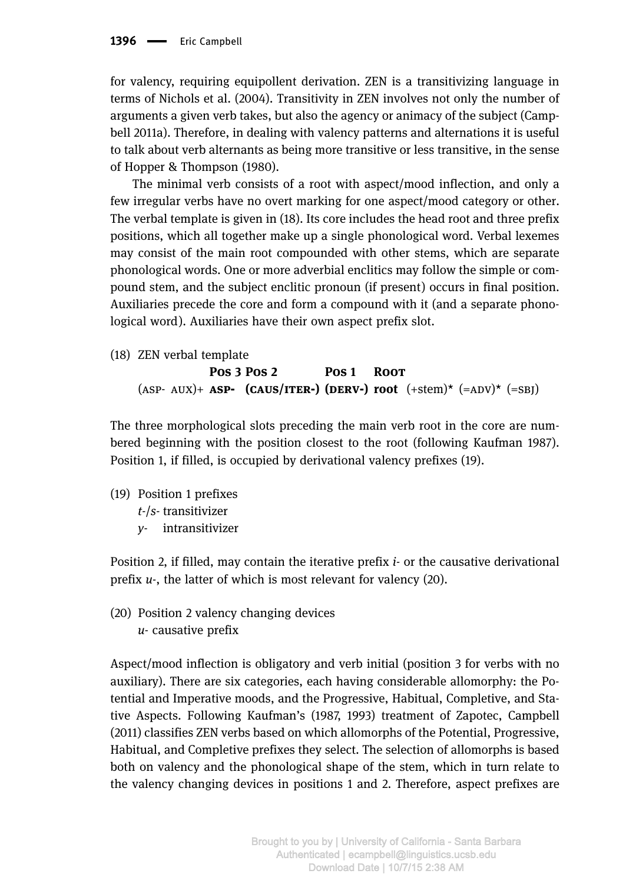for valency, requiring equipollent derivation. ZEN is a transitivizing language in terms of Nichols et al. (2004). Transitivity in ZEN involves not only the number of arguments a given verb takes, but also the agency or animacy of the subject (Campbell 2011a). Therefore, in dealing with valency patterns and alternations it is useful to talk about verb alternants as being more transitive or less transitive, in the sense of Hopper & Thompson (1980).

The minimal verb consists of a root with aspect/mood inflection, and only a few irregular verbs have no overt marking for one aspect/mood category or other. The verbal template is given in (18). Its core includes the head root and three prefix positions, which all together make up a single phonological word. Verbal lexemes may consist of the main root compounded with other stems, which are separate phonological words. One or more adverbial enclitics may follow the simple or compound stem, and the subject enclitic pronoun (if present) occurs in final position. Auxiliaries precede the core and form a compound with it (and a separate phonological word). Auxiliaries have their own aspect prefix slot.

(18) ZEN verbal template

**Pos 3 Pos 2 Pos 1 Root**  $(ASP-AUX)+ABP-$  (CAUS/ITER-) (DERV-) root  $(+stem)^*$   $(=ADV)^*$   $(=SB)$ )

The three morphological slots preceding the main verb root in the core are numbered beginning with the position closest to the root (following Kaufman 1987). Position 1, if filled, is occupied by derivational valency prefixes (19).

(19) Position 1 prefixes *t-*/*s-* transitivizer *y-* intransitivizer

Position 2, if filled, may contain the iterative prefix *i-* or the causative derivational prefix *u-*, the latter of which is most relevant for valency (20).

(20) Position 2 valency changing devices *u-* causative prefix

Aspect/mood inflection is obligatory and verb initial (position 3 for verbs with no auxiliary). There are six categories, each having considerable allomorphy: the Potential and Imperative moods, and the Progressive, Habitual, Completive, and Stative Aspects. Following Kaufman's (1987, 1993) treatment of Zapotec, Campbell (2011) classifies ZEN verbs based on which allomorphs of the Potential, Progressive, Habitual, and Completive prefixes they select. The selection of allomorphs is based both on valency and the phonological shape of the stem, which in turn relate to the valency changing devices in positions 1 and 2. Therefore, aspect prefixes are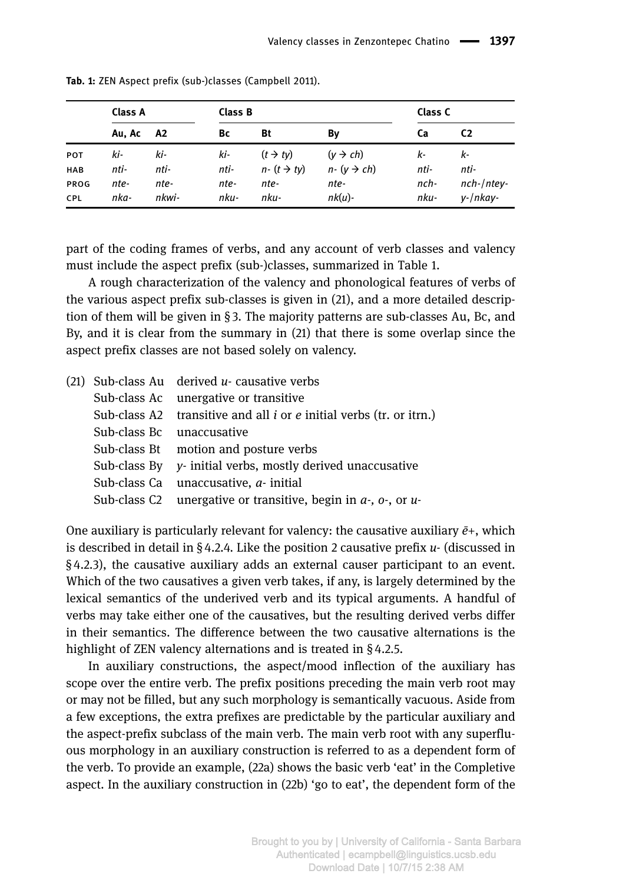|            | Class A |       |      | Class B                  |                              |      | Class C        |  |
|------------|---------|-------|------|--------------------------|------------------------------|------|----------------|--|
|            | Au, Ac  | A2    | Вc   | Bt                       | Βv                           | Cа   | C <sub>2</sub> |  |
| <b>POT</b> | ki-     | ki-   | ki-  | $(t \rightarrow ty)$     | $(y \rightarrow ch)$         | k-   | k-             |  |
| <b>HAB</b> | nti-    | nti-  | nti- | $n - (t \rightarrow tv)$ | $n \cdot (y \rightarrow ch)$ | nti- | nti-           |  |
| PROG       | nte-    | nte-  | nte- | nte-                     | nte-                         | nch- | $nch$ -/ntey-  |  |
| <b>CPL</b> | nka-    | nkwi- | nku- | nku-                     | $nk(u)$ -                    | nku- | $v$ -/nkav-    |  |

**Tab. 1:** ZEN Aspect prefix (sub-)classes (Campbell 2011).

part of the coding frames of verbs, and any account of verb classes and valency must include the aspect prefix (sub‑)classes, summarized in Table 1.

A rough characterization of the valency and phonological features of verbs of the various aspect prefix sub-classes is given in (21), and a more detailed description of them will be given in § 3. The majority patterns are sub-classes Au, Bc, and By, and it is clear from the summary in (21) that there is some overlap since the aspect prefix classes are not based solely on valency.

|  | (21) Sub-class Au derived $u$ - causative verbs                                   |
|--|-----------------------------------------------------------------------------------|
|  | Sub-class Ac unergative or transitive                                             |
|  | Sub-class A2 transitive and all <i>i</i> or <i>e</i> initial verbs (tr. or itrn.) |
|  | Sub-class Bc unaccusative                                                         |
|  | Sub-class Bt motion and posture verbs                                             |
|  | Sub-class By $y$ - initial verbs, mostly derived unaccusative                     |
|  | Sub-class Ca unaccusative, $a$ - initial                                          |
|  | Sub-class C2 unergative or transitive, begin in $a$ -, $o$ -, or $u$ -            |

One auxiliary is particularly relevant for valency: the causative auxiliary  $\bar{e}$ +, which is described in detail in § 4.2.4*.* Like the position 2 causative prefix *u-* (discussed in § 4.2.3), the causative auxiliary adds an external causer participant to an event. Which of the two causatives a given verb takes, if any, is largely determined by the lexical semantics of the underived verb and its typical arguments. A handful of verbs may take either one of the causatives, but the resulting derived verbs differ in their semantics. The difference between the two causative alternations is the highlight of ZEN valency alternations and is treated in § 4.2.5.

In auxiliary constructions, the aspect/mood inflection of the auxiliary has scope over the entire verb. The prefix positions preceding the main verb root may or may not be filled, but any such morphology is semantically vacuous. Aside from a few exceptions, the extra prefixes are predictable by the particular auxiliary and the aspect-prefix subclass of the main verb. The main verb root with any superfluous morphology in an auxiliary construction is referred to as a dependent form of the verb. To provide an example, (22a) shows the basic verb 'eat' in the Completive aspect. In the auxiliary construction in (22b) 'go to eat', the dependent form of the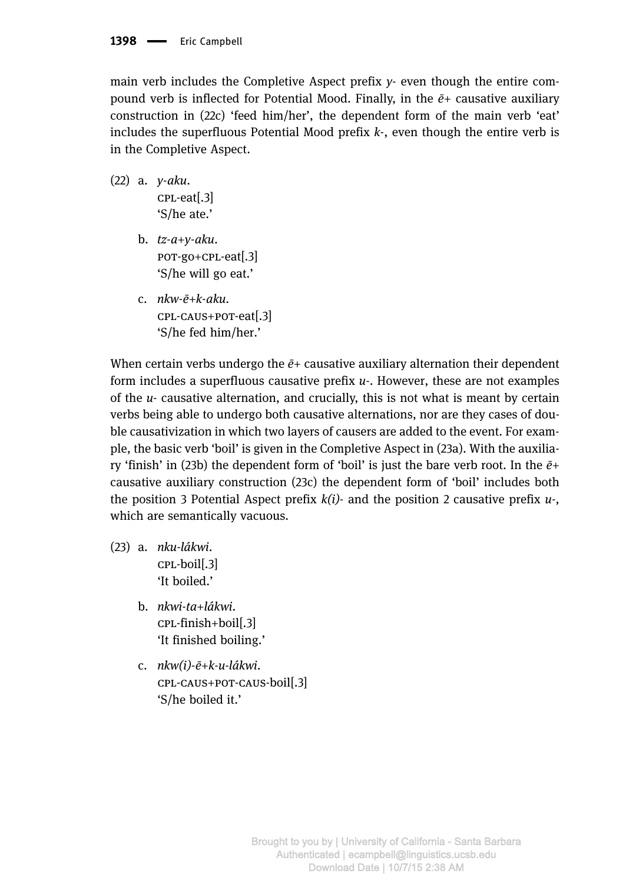main verb includes the Completive Aspect prefix *y-* even though the entire compound verb is inflected for Potential Mood. Finally, in the *ē*+ causative auxiliary construction in (22c) 'feed him/her', the dependent form of the main verb 'eat' includes the superfluous Potential Mood prefix *k-*, even though the entire verb is in the Completive Aspect.

(22) a. *y-aku*. cpl-eat[.3] 'S/he ate.'

- b. *tz-a*+*y-aku*. pot-go+cpl-eat[.3] 'S/he will go eat.'
- c. *nkw-ē*+*k-aku*. cpl-caus+pot-eat[.3] 'S/he fed him/her.'

When certain verbs undergo the  $\bar{e}$ + causative auxiliary alternation their dependent form includes a superfluous causative prefix *u-*. However, these are not examples of the *u-* causative alternation, and crucially, this is not what is meant by certain verbs being able to undergo both causative alternations, nor are they cases of double causativization in which two layers of causers are added to the event. For example, the basic verb 'boil' is given in the Completive Aspect in (23a). With the auxiliary 'finish' in (23b) the dependent form of 'boil' is just the bare verb root. In the *ē*+ causative auxiliary construction (23c) the dependent form of 'boil' includes both the position 3 Potential Aspect prefix *k(i)-* and the position 2 causative prefix *u-*, which are semantically vacuous.

- (23) a. *nku-lákwi*. cpl-boil[.3] 'It boiled.'
	- b. *nkwi-ta*+*lákwi*. cpl-finish+boil[.3] 'It finished boiling.'
	- c. *nkw(i)-ē*+*k-u-lákwi*. cpl-caus+pot-caus-boil[.3] 'S/he boiled it.'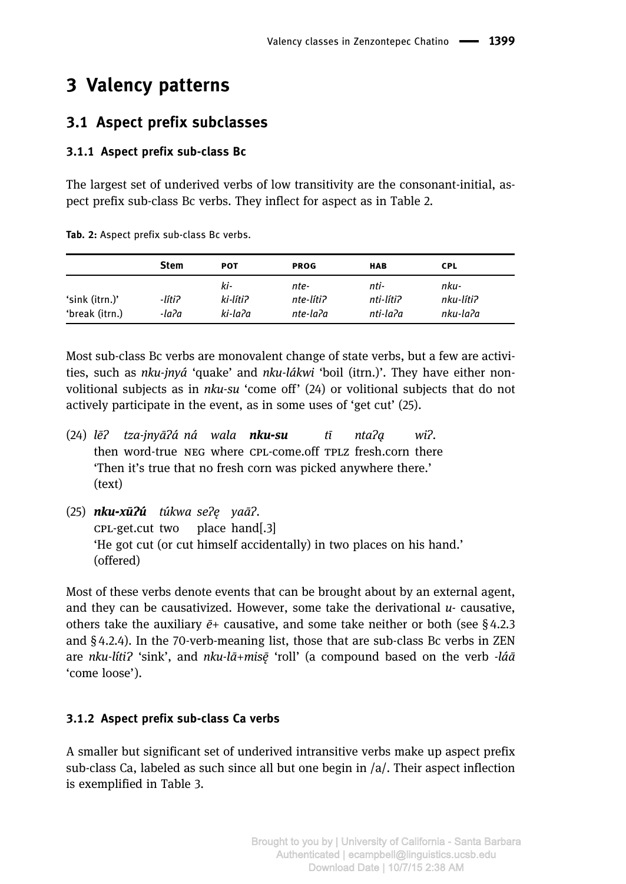## **3 Valency patterns**

## **3.1 Aspect prefix subclasses**

### **3.1.1 Aspect prefix sub-class Bc**

The largest set of underived verbs of low transitivity are the consonant-initial, aspect prefix sub-class Bc verbs. They inflect for aspect as in Table 2.

|                                  | Stem            | <b>POT</b>                 | <b>PROG</b>                   | <b>HAB</b>                    | <b>CPL</b>                    |
|----------------------------------|-----------------|----------------------------|-------------------------------|-------------------------------|-------------------------------|
| 'sink (itrn.)'<br>'break (itrn.) | -líti?<br>-laʔa | ki-<br>ki-líti?<br>ki-la?a | nte-<br>nte-líti?<br>nte-la?a | nti-<br>nti-líti?<br>nti-la?a | nku-<br>nku-líti?<br>nku-la?a |

**Tab. 2:** Aspect prefix sub-class Bc verbs.

Most sub-class Bc verbs are monovalent change of state verbs, but a few are activities, such as *nku‑jnyá* 'quake' and *nku‑lákwi* 'boil (itrn.)'. They have either nonvolitional subjects as in *nku‑su* 'come off' (24) or volitional subjects that do not actively participate in the event, as in some uses of 'get cut' (25).

- (24) *lēʔ tza-jnyāʔá ná wala nku-su tī ntaʔą wiʔ*. then word-true neg where cpl-come.off tplz fresh.corn there 'Then it's true that no fresh corn was picked anywhere there.' (text)
- (25) *nku-xūʔú túkwa seʔę yaāʔ*. cpl-get.cut two place hand[.3] 'He got cut (or cut himself accidentally) in two places on his hand.' (offered)

Most of these verbs denote events that can be brought about by an external agent, and they can be causativized. However, some take the derivational  $u$ - causative, others take the auxiliary  $\bar{e}$ + causative, and some take neither or both (see §4.2.3) and  $\S 4.2.4$ ). In the 70-verb-meaning list, those that are sub-class Bc verbs in ZEN are *nku‑lítiɁ* 'sink', and *nku-lā*+*misę̄* 'roll' (a compound based on the verb *‑láā* 'come loose').

### **3.1.2 Aspect prefix sub-class Ca verbs**

A smaller but significant set of underived intransitive verbs make up aspect prefix sub-class Ca, labeled as such since all but one begin in  $/a$ . Their aspect inflection is exemplified in Table 3.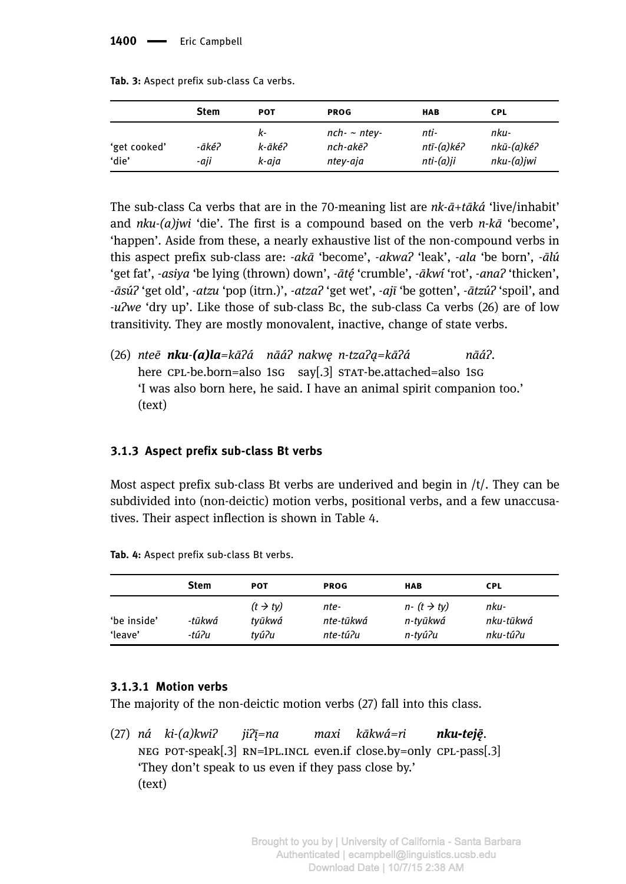|                       | Stem          | <b>POT</b>            | <b>PROG</b>                          | <b>HAB</b>                      | <b>CPL</b>                        |
|-----------------------|---------------|-----------------------|--------------------------------------|---------------------------------|-----------------------------------|
| 'get cooked'<br>'die' | -āké?<br>-aji | ĸ-<br>k-āké?<br>k-aja | $nch - ntev$<br>nch-akē?<br>ntey-aja | nti-<br>ntī-(a)ké?<br>nti-(a)ji | nku-<br>nkū-(a)ké?<br>nku-(a) jwi |

|  |  |  |  | <b>Tab. 3:</b> Aspect prefix sub-class Ca verbs. |  |  |
|--|--|--|--|--------------------------------------------------|--|--|
|--|--|--|--|--------------------------------------------------|--|--|

The sub-class Ca verbs that are in the 70-meaning list are *nk‑ā*+*tāká* 'live/inhabit' and *nku‑(a)jwi* 'die'. The first is a compound based on the verb *n-kā* 'become', 'happen'. Aside from these, a nearly exhaustive list of the non-compound verbs in this aspect prefix sub-class are: *‑akā* 'become', *‑akwaʔ* 'leak', *‑ala* 'be born', *‑ālú* 'get fat', *‑asiya* 'be lying (thrown) down', *‑ātę́* 'crumble', *‑ākwí* 'rot', *‑anaʔ* 'thicken', *‑āsúʔ* 'get old', *‑atzu* 'pop (itrn.)', *‑atzaʔ* 'get wet', *‑ajī* 'be gotten', *‑ātzúʔ* 'spoil', and *‑uʔwe* 'dry up'. Like those of sub-class Bc, the sub-class Ca verbs (26) are of low transitivity. They are mostly monovalent, inactive, change of state verbs.

(26) *nteē nku-(a)la=kāʔá nāáʔ nakwę n-tzaʔa=kāʔá nāáʔ ̨* . here CPL-be.born=also 1sG say[.3] stat-be.attached=also 1sG 'I was also born here, he said. I have an animal spirit companion too.' (text)

### **3.1.3 Aspect prefix sub-class Bt verbs**

Most aspect prefix sub-class Bt verbs are underived and begin in /t/. They can be subdivided into (non-deictic) motion verbs, positional verbs, and a few unaccusatives. Their aspect inflection is shown in Table 4.

|                        | Stem            | <b>POT</b>                              | <b>PROG</b>                   | <b>HAB</b>                                      | <b>CPL</b>                    |
|------------------------|-----------------|-----------------------------------------|-------------------------------|-------------------------------------------------|-------------------------------|
| 'be inside'<br>'leave' | -tūkwá<br>-túʔu | $(t \rightarrow tv)$<br>tvūkwá<br>tvú?u | nte-<br>nte-tūkwá<br>nte-túʔu | $n - (t \rightarrow tv)$<br>n-tvūkwá<br>n-tvú?u | nku-<br>nku-tūkwá<br>nku-túʔu |

**Tab. 4:** Aspect prefix sub-class Bt verbs.

#### **3.1.3.1 Motion verbs**

The majority of the non-deictic motion verbs (27) fall into this class.

(27) *ná ki-(a)kwiʔ jiʔī=na maxi kākwá=ri ̨ nku-tejē*.*̨* neg pot-speak[.3] rn=1pl.incl even.if close.by=only cpl-pass[.3] 'They don't speak to us even if they pass close by.' (text)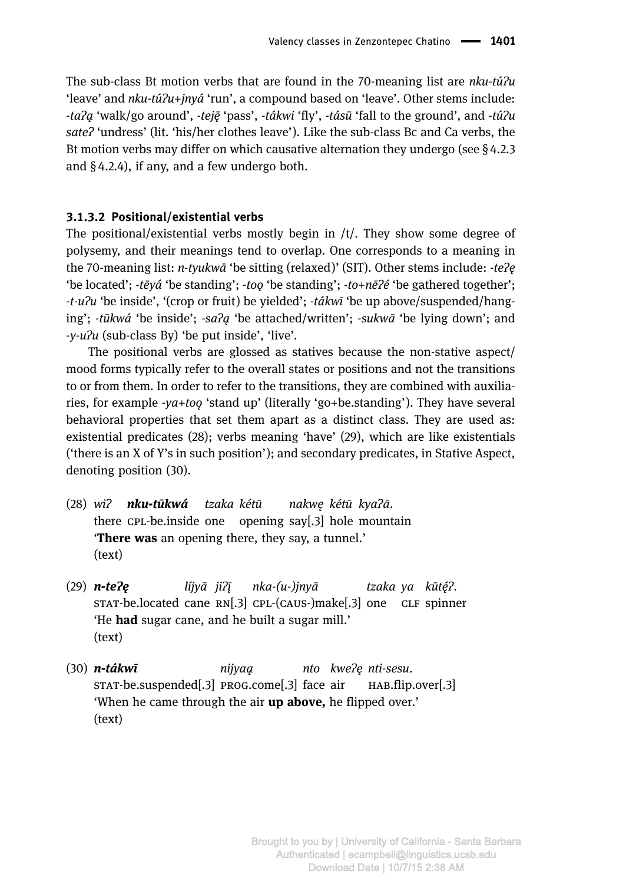The sub-class Bt motion verbs that are found in the 70-meaning list are *nku‑túʔu* 'leave' and *nku‑túʔu*+*jnyá* 'run', a compound based on 'leave'. Other stems include: *‑taʔą* 'walk/go around', *-teję̄* 'pass', *‑tákwi* 'fly', *‑tásū* 'fall to the ground', and *‑túʔu sateʔ* 'undress' (lit. 'his/her clothes leave'). Like the sub-class Bc and Ca verbs, the Bt motion verbs may differ on which causative alternation they undergo (see § 4.2.3 and § 4.2.4), if any, and a few undergo both.

#### **3.1.3.2 Positional/existential verbs**

The positional/existential verbs mostly begin in /t/. They show some degree of polysemy, and their meanings tend to overlap. One corresponds to a meaning in the 70-meaning list: *n-tyukwā* 'be sitting (relaxed)' (SIT). Other stems include: *‑teʔę* 'be located'; *‑tēyá* 'be standing'; *‑toǫ* 'be standing'; *‑to*+*nēʔé* 'be gathered together'; *‑t‑uʔu* 'be inside', '(crop or fruit) be yielded'; *‑tákwī* 'be up above/suspended/hanging'; *‑tūkwá* 'be inside'; *‑saʔą* 'be attached/written'; *‑sukwā* 'be lying down'; and *‑y‑uʔu* (sub-class By) 'be put inside', 'live'.

The positional verbs are glossed as statives because the non-stative aspect/ mood forms typically refer to the overall states or positions and not the transitions to or from them. In order to refer to the transitions, they are combined with auxiliaries, for example *‑ya*+*toǫ* 'stand up' (literally 'go+be.standing'). They have several behavioral properties that set them apart as a distinct class. They are used as: existential predicates (28); verbs meaning 'have' (29), which are like existentials ('there is an X of Y's in such position'); and secondary predicates, in Stative Aspect, denoting position (30).

- (28) *wiʔ nku-tūkwá tzaka kétū nakwę kétū kyaʔā*. there cpl-be.inside one opening say[.3] hole mountain '**There was** an opening there, they say, a tunnel.' (text)
- (29) *n-teʔę líjyā jiʔī ̨ nka-(u-)jnyā tzaka ya kūtéʔ̨* . stat-be.located cane RN[.3] CPL-(CAUS-)make[.3] one CLF spinner 'He **had** sugar cane, and he built a sugar mill.' (text)
- (30) *n-tákwī nijyaą nto kweʔę nti-sesu*. stat-be.suspended[.3] prog.come[.3] face air HAB.flip.over[.3] 'When he came through the air **up above,** he flipped over.' (text)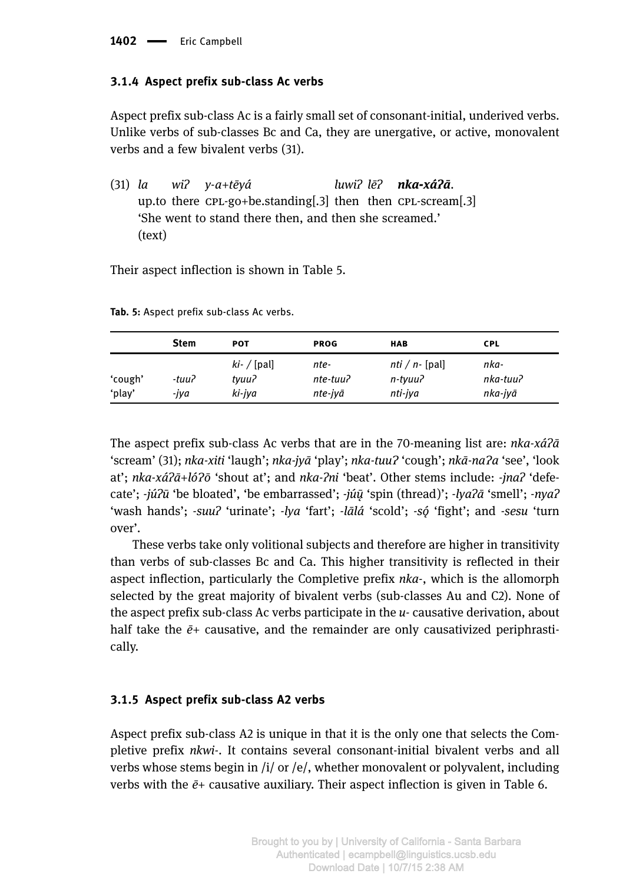### **3.1.4 Aspect prefix sub-class Ac verbs**

Aspect prefix sub-class Ac is a fairly small set of consonant-initial, underived verbs. Unlike verbs of sub-classes Bc and Ca, they are unergative, or active, monovalent verbs and a few bivalent verbs (31).

(31) *la wiʔ y-a*+*tēyá luwiʔ lēʔ nka-xáʔā*. up.to there cpl-go+be.standing[.3] then then cpl-scream[.3] 'She went to stand there then, and then she screamed.' (text)

Their aspect inflection is shown in Table 5.

**Tab. 5:** Aspect prefix sub-class Ac verbs.

|                   | Stem          | POT                               | <b>PROG</b>                 | <b>HAB</b>                            | <b>CPL</b>                  |
|-------------------|---------------|-----------------------------------|-----------------------------|---------------------------------------|-----------------------------|
| 'cough'<br>'play' | -tuu?<br>-iva | $ki$ - / [pal]<br>tvuu?<br>ki-jya | nte-<br>nte-tuu?<br>nte-jyā | nti / n - [pal]<br>n-tvuu?<br>nti-jya | nka-<br>nka-tuu?<br>nka-jyā |

The aspect prefix sub-class Ac verbs that are in the 70-meaning list are: *nka‑xáʔā* 'scream' (31); *nka‑xiti* 'laugh'; *nka-jyā* 'play'; *nka‑tuuɁ* 'cough'; *nkā‑naɁa* 'see', 'look at'; *nka‑xáʔā*+*lóɁō* 'shout at'; and *nka‑ʔni* 'beat'. Other stems include: *‑jnaʔ* 'defecate'; *‑júʔū* 'be bloated', 'be embarrassed'; *-júų̄* 'spin (thread)'; *‑lyaʔā* 'smell'; *‑nyaʔ* 'wash hands'; *‑suuʔ* 'urinate'; *‑lya* 'fart'; *‑lālá* 'scold'; *‑sǫ́* 'fight'; and *‑sesu* 'turn over'.

These verbs take only volitional subjects and therefore are higher in transitivity than verbs of sub-classes Bc and Ca. This higher transitivity is reflected in their aspect inflection, particularly the Completive prefix *nka-*, which is the allomorph selected by the great majority of bivalent verbs (sub-classes Au and C2). None of the aspect prefix sub-class Ac verbs participate in the *u‑* causative derivation, about half take the *ē*+ causative, and the remainder are only causativized periphrastically.

### **3.1.5 Aspect prefix sub-class A2 verbs**

Aspect prefix sub-class A2 is unique in that it is the only one that selects the Completive prefix *nkwi-*. It contains several consonant-initial bivalent verbs and all verbs whose stems begin in  $\frac{1}{2}$  or  $\frac{1}{2}$ , whether monovalent or polyvalent, including verbs with the  $\bar{e}$ + causative auxiliary. Their aspect inflection is given in Table 6.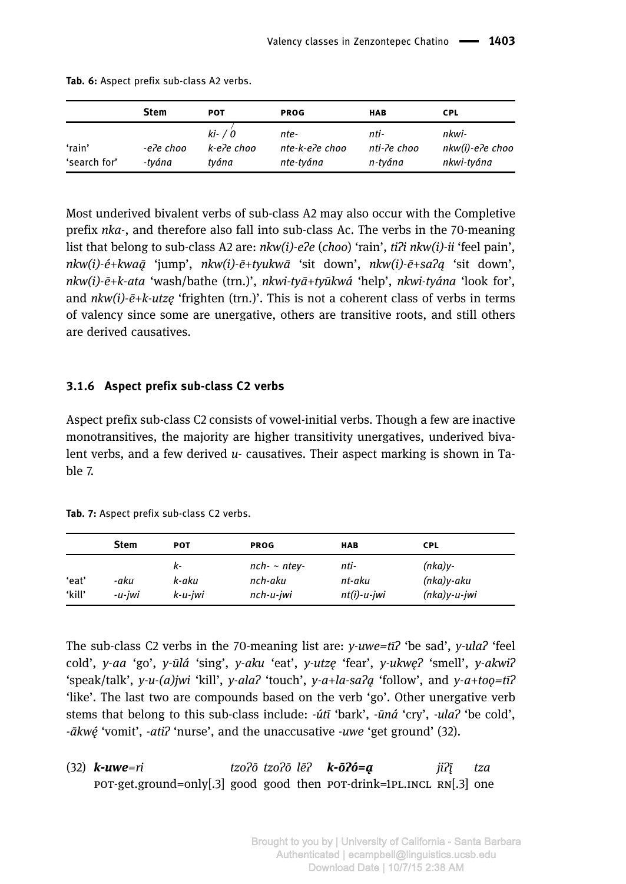|                        | Stem                | <b>POT</b>                       | <b>PROG</b>                         | <b>HAB</b>                     | <b>CPL</b>                             |
|------------------------|---------------------|----------------------------------|-------------------------------------|--------------------------------|----------------------------------------|
| ʻrain'<br>'search for' | -eʔe choo<br>-tvána | $ki-$ / 0<br>k-eʔe choo<br>tvána | nte-<br>nte-k-e?e choo<br>nte-tvána | nti-<br>nti-?e choo<br>n-tvána | nkwi-<br>nkw(i)-e?e choo<br>nkwi-tvána |

**Tab. 6:** Aspect prefix sub-class A2 verbs.

Most underived bivalent verbs of sub-class A2 may also occur with the Completive prefix *nka-*, and therefore also fall into sub-class Ac. The verbs in the 70-meaning list that belong to sub-class A2 are: *nkw(i)‑eʔe* (*choo*) 'rain', *tiʔi nkw(i)-ii* 'feel pain', *nkw(i)-é*+*kwaą̄* 'jump', *nkw(i)-ē*+*tyukwā* 'sit down', *nkw(i)‑ē*+*saʔą* 'sit down', *nkw(i)-ē*+*k-ata* 'wash/bathe (trn.)', *nkwi-tyā*+*tyūkwá* 'help', *nkwi-tyána* 'look for', and *nkw(i)-ē*+*k-utzę* 'frighten (trn.)'. This is not a coherent class of verbs in terms of valency since some are unergative, others are transitive roots, and still others are derived causatives.

#### **3.1.6 Aspect prefix sub-class C2 verbs**

Aspect prefix sub-class C2 consists of vowel-initial verbs. Though a few are inactive monotransitives, the majority are higher transitivity unergatives, underived bivalent verbs, and a few derived *u‑* causatives. Their aspect marking is shown in Table 7.

|                 | Stem           | <b>POT</b>             | <b>PROG</b>                            | <b>HAB</b>                      | <b>CPL</b>                                    |
|-----------------|----------------|------------------------|----------------------------------------|---------------------------------|-----------------------------------------------|
| 'eat'<br>'kill' | -aku<br>-u-iwi | k-<br>k-aku<br>k-u-iwi | $nch - ntev -$<br>nch-aku<br>nch-u-jwi | nti-<br>nt-aku<br>$nt(i)-u-jwi$ | $(nka)v-$<br>$(nka)y - aku$<br>$(nka)y-u-jwi$ |

**Tab. 7:** Aspect prefix sub-class C2 verbs.

The sub-class C2 verbs in the 70-meaning list are: *y-uwe=tīʔ* 'be sad', *y-ulaʔ* 'feel cold', *y-aa* 'go', *y‑ūlá* 'sing', *y‑aku* 'eat', *y-utzę* 'fear', *y‑ukweʔ̨* 'smell', *y‑akwiʔ* 'speak/talk', *y-u-(a)jwi* 'kill', *y‑alaʔ* 'touch', *y‑a*+*la‑saʔą* 'follow', and *y-a*+*toǫ=tīʔ* 'like'. The last two are compounds based on the verb 'go'. Other unergative verb stems that belong to this sub-class include: *‑útī* 'bark', *‑ūná* 'cry', *‑ulaʔ* 'be cold', *‑ākwę́* 'vomit', *‑atiʔ* 'nurse', and the unaccusative *‑uwe* 'get ground' (32).

(32) *k-uwe=ri tzoʔō tzoʔō lēʔ k-ōʔó=ą jiʔī ̨ tza* pot-get.ground=only[.3] good good then pot-drink=1pl.jncl RN[.3] one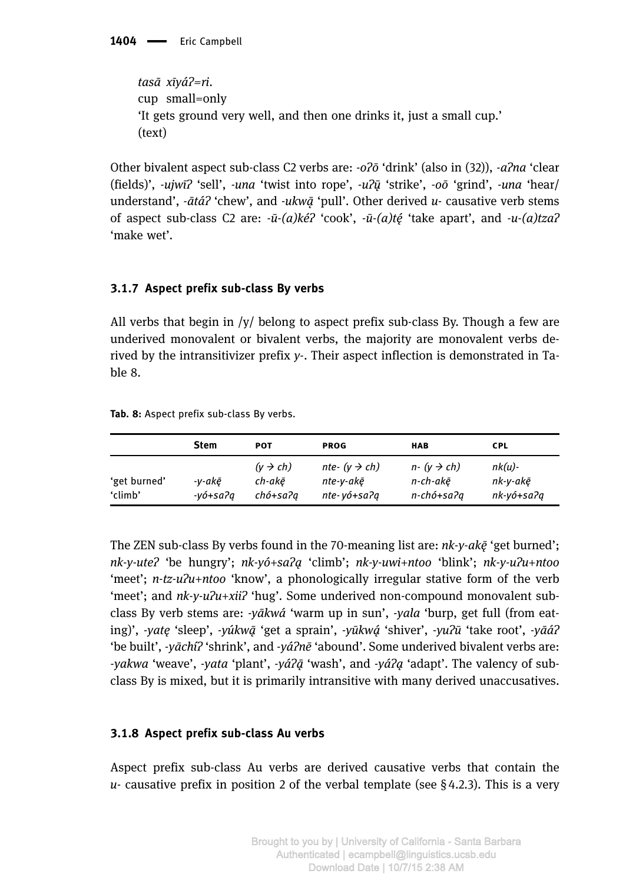```
tasā xīyáʔ=ri.
cup small=only
'It gets ground very well, and then one drinks it, just a small cup.'
(text)
```
Other bivalent aspect sub-class C2 verbs are: *‑oʔō* 'drink' (also in (32)), *‑aʔna* 'clear (fields)', *‑ujwīʔ* 'sell', *‑una* 'twist into rope', *‑uʔų̄* 'strike', *‑oō* 'grind', *‑una* 'hear/ understand', *‑ātáʔ* 'chew', and *-ukwą̄* 'pull'. Other derived *u-* causative verb stems of aspect sub-class C2 are: *‑ū-(a)kéʔ* 'cook', *‑ū-(a)tę́* 'take apart', and *‑u‑(a)tzaʔ* 'make wet'.

### **3.1.7 Aspect prefix sub-class By verbs**

All verbs that begin in /y/ belong to aspect prefix sub-class By. Though a few are underived monovalent or bivalent verbs, the majority are monovalent verbs derived by the intransitivizer prefix *y-*. Their aspect inflection is demonstrated in Table 8.

**Tab. 8:** Aspect prefix sub-class By verbs.

|                         | Stem               | <b>POT</b>                                 | <b>PROG</b>                                           | <b>HAB</b>                                       | <b>CPL</b>                          |
|-------------------------|--------------------|--------------------------------------------|-------------------------------------------------------|--------------------------------------------------|-------------------------------------|
| 'get burned'<br>'climb' | -v-akē<br>-vó+saʔa | $(v \rightarrow ch)$<br>ch-akē<br>chó+saʔa | nte- $(v \rightarrow ch)$<br>nte-v-akē<br>nte-vó+sa?a | $n-(v \rightarrow ch)$<br>n-ch-akē<br>n-chó+saʔa | $nk(u)$ -<br>nk-v-akē<br>nk-vó+sa?a |

The ZEN sub-class By verbs found in the 70-meaning list are: *nk‑y‑akę̄* 'get burned'; *nk‑y-uteʔ* 'be hungry'; *nk‑yó*+*saʔą* 'climb'; *nk-y-uwi*+*ntoo* 'blink'; *nk‑y‑uʔu*+*ntoo* 'meet'; *n‑tz‑uʔu*+*ntoo* 'know', a phonologically irregular stative form of the verb 'meet'; and *nk‑y‑uʔu*+*xiiʔ* 'hug'. Some underived non-compound monovalent subclass By verb stems are: *-yākwá* 'warm up in sun', *‑yala* 'burp, get full (from eating)', *‑yatę* 'sleep', *‑yúkwą̄* 'get a sprain', *‑yūkwą́* 'shiver', *‑yuʔū* 'take root', *‑yāáʔ* 'be built', *‑yāchíʔ* 'shrink', and *‑yáʔnē* 'abound'. Some underived bivalent verbs are: *‑yakwa* 'weave', *‑yata* 'plant', *‑yáʔą̄* 'wash', and *‑yáʔą* 'adapt'. The valency of subclass By is mixed, but it is primarily intransitive with many derived unaccusatives.

### **3.1.8 Aspect prefix sub-class Au verbs**

Aspect prefix sub-class Au verbs are derived causative verbs that contain the *u‑* causative prefix in position 2 of the verbal template (see § 4.2.3). This is a very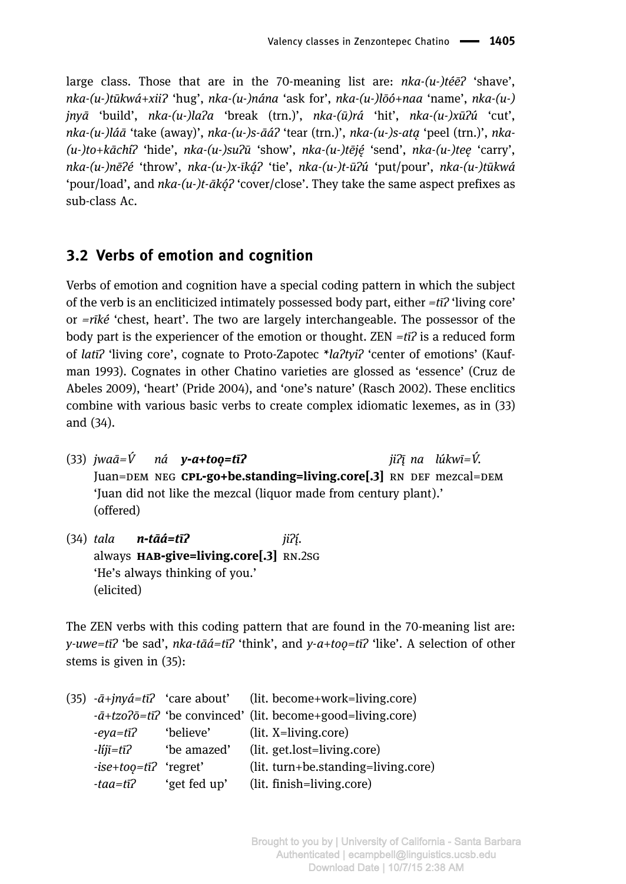large class. Those that are in the 70-meaning list are: *nka-(u-)téēʔ* 'shave', *nka‑(u‑)tūkwá*+*xiiɁ* 'hug', *nka‑(u-)nána* 'ask for', *nka-(u-)lōó*+*naa* 'name', *nka‑(u‑) jnyā* 'build', *nka‑(u‑)laʔa* 'break (trn.)', *nka-(ū)rá* 'hit', *nka‑(u-)xūʔú* 'cut', *nka‑(u‑)láā* 'take (away)', *nka-(u-)s-āáʔ* 'tear (trn.)', *nka‑(u‑)s‑atą* 'peel (trn.)', *nka- (u-)to*+*kāchíʔ* 'hide', *nka-(u-)suʔū* 'show', *nka‑(u‑)tēję́* 'send', *nka-(u-)teę* 'carry', *nka‑(u‑)nēʔé* 'throw', *nka-(u-)x-īkáʔ̨* 'tie', *nka-(u-)t-ūʔú* 'put/pour', *nka‑(u‑)tūkwá* 'pour/load', and *nka-(u-)t-ākóʔ̨* 'cover/close'. They take the same aspect prefixes as sub-class Ac.

## **3.2 Verbs of emotion and cognition**

Verbs of emotion and cognition have a special coding pattern in which the subject of the verb is an encliticized intimately possessed body part, either *=tīʔ* 'living core' or *=rīké* 'chest, heart'. The two are largely interchangeable. The possessor of the body part is the experiencer of the emotion or thought. ZEN *=tīʔ* is a reduced form of *latīʔ* 'living core', cognate to Proto-Zapotec *\*laʔtyiʔ* 'center of emotions' (Kaufman 1993). Cognates in other Chatino varieties are glossed as 'essence' (Cruz de Abeles 2009), 'heart' (Pride 2004), and 'one's nature' (Rasch 2002). These enclitics combine with various basic verbs to create complex idiomatic lexemes, as in (33) and (34).

- (33) *jwaā=V́ ná y-a***+***too=tīʔ ̨ jiʔī ̨ na lúkwī=V́* . Juan=DEM NEG **CPL-go+be.standing=living.core[.3]** RN DEF mezcal=DEM 'Juan did not like the mezcal (liquor made from century plant).' (offered)
- (34) *tala n-tāá=tīʔ jiʔí*.*̨* always **HAB-give=living.core[.3]** RN.2SG 'He's always thinking of you.' (elicited)

The ZEN verbs with this coding pattern that are found in the 70-meaning list are: *y‑uwe=tīʔ* 'be sad', *nka‑tāá=tīʔ* 'think', and *y-a*+*toǫ=tīʔ* 'like'. A selection of other stems is given in (35):

|                               |              | $(35)$ $-\bar{a}$ +jny $\acute{a}$ =ti? 'care about' (lit. become+work=living.core) |
|-------------------------------|--------------|-------------------------------------------------------------------------------------|
|                               |              | $-\bar{a}+tzo$ ? $\bar{o}$ =tī? 'be convinced' (lit. become+good=living.core)       |
| -eya=tī?                      | 'believe'    | (lit. X=living.core)                                                                |
| -líjī=tī?                     | 'be amazed'  | (lit. get.lost=living.core)                                                         |
| $-ise+toq=t\bar{i}2$ 'regret' |              | (lit. turn+be.standing=living.core)                                                 |
| -taa=tī?                      | 'get fed up' | (lit. finish=living.core)                                                           |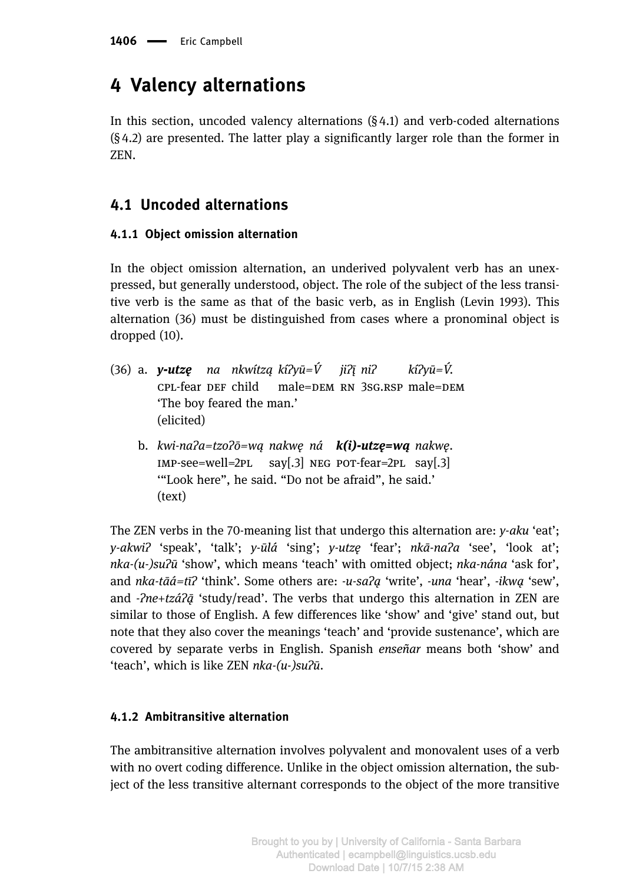# **4 Valency alternations**

In this section, uncoded valency alternations  $(§ 4.1)$  and verb-coded alternations (§ 4.2) are presented. The latter play a significantly larger role than the former in ZEN.

### **4.1 Uncoded alternations**

### **4.1.1 Object omission alternation**

In the object omission alternation, an underived polyvalent verb has an unexpressed, but generally understood, object. The role of the subject of the less transitive verb is the same as that of the basic verb, as in English (Levin 1993). This alternation (36) must be distinguished from cases where a pronominal object is dropped (10).

- (36) a. *y-utzę na nkwítzą kíʔyū=V́ jiʔī ̨ niʔ kíʔyū=V́*  $k$ î $\partial v\bar{u}$ = $\hat{V}$ . cpl-fear def child male=dem rn 3sg.rsp male=dem 'The boy feared the man.' (elicited)
	- b. *kwi-naʔa=tzoʔō=wą nakwę ná k(i)-utzę=wą nakwę*.  $IMP\text{-}see=well=2PL$  say[.3] NEG POT-fear=2pL say[.3] '"Look here", he said. "Do not be afraid", he said.' (text)

The ZEN verbs in the 70-meaning list that undergo this alternation are: *y‑aku* 'eat'; *y‑akwiʔ* 'speak', 'talk'; *y‑ūlá* 'sing'; *y‑utzę* 'fear'; *nkā‑naʔa* 'see', 'look at'; *nka‑(u‑)suʔū* 'show', which means 'teach' with omitted object; *nka-nána* 'ask for', and *nka‑tāá=tīʔ* 'think'. Some others are: *‑u‑saʔą* 'write', *‑una* 'hear', *‑ikwą* 'sew', and *‑ʔne*+*tzáʔą̄* 'study/read'. The verbs that undergo this alternation in ZEN are similar to those of English. A few differences like 'show' and 'give' stand out, but note that they also cover the meanings 'teach' and 'provide sustenance', which are covered by separate verbs in English. Spanish *enseñar* means both 'show' and 'teach', which is like ZEN *nka‑(u‑)suʔū*.

### **4.1.2 Ambitransitive alternation**

The ambitransitive alternation involves polyvalent and monovalent uses of a verb with no overt coding difference. Unlike in the object omission alternation, the subject of the less transitive alternant corresponds to the object of the more transitive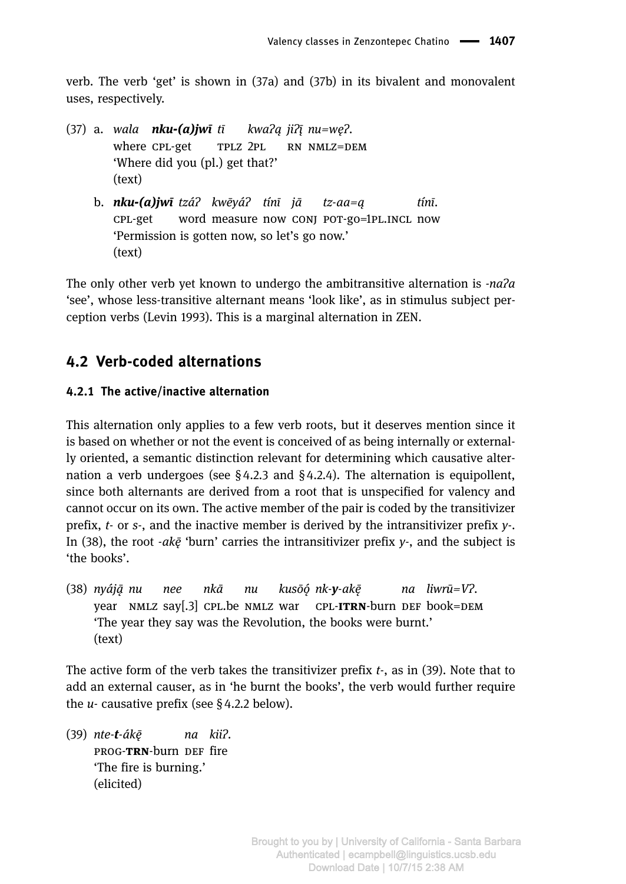verb. The verb 'get' is shown in (37a) and (37b) in its bivalent and monovalent uses, respectively.

- (37) a. *wala nku-(a)jwī tī kwaʔą jiʔī ̨ nu=węʔ*. where CPL-get TPLZ 2PL RN NMLZ=DEM 'Where did you (pl.) get that?' (text)
	- b. *nku-(a)jwī tzáʔ kwēyáʔ tínī jā tz-aa=ą tínī*. cpl-get word measure now conj pot-go=1pl.incl now 'Permission is gotten now, so let's go now.' (text)

The only other verb yet known to undergo the ambitransitive alternation is *‑naʔa* 'see', whose less-transitive alternant means 'look like', as in stimulus subject perception verbs (Levin 1993). This is a marginal alternation in ZEN.

## **4.2 Verb-coded alternations**

### **4.2.1 The active/inactive alternation**

This alternation only applies to a few verb roots, but it deserves mention since it is based on whether or not the event is conceived of as being internally or externally oriented, a semantic distinction relevant for determining which causative alternation a verb undergoes (see  $\S 4.2.3$  and  $\S 4.2.4$ ). The alternation is equipollent, since both alternants are derived from a root that is unspecified for valency and cannot occur on its own. The active member of the pair is coded by the transitivizer prefix, *t-* or *s‑*, and the inactive member is derived by the intransitivizer prefix *y‑*. In (38), the root *-akę̄* 'burn' carries the intransitivizer prefix *y-*, and the subject is 'the books'.

(38) *nyáją̄ nu nee nkā nu kusōǫ́ nk-y-akę̄ na liwrū=Vʔ*. year nmlz say[.3] cpl.be nmlz war cpl-**itrn**-burn def book=dem 'The year they say was the Revolution, the books were burnt.' (text)

The active form of the verb takes the transitivizer prefix *t‑*, as in (39). Note that to add an external causer, as in 'he burnt the books', the verb would further require the *u-* causative prefix (see § 4.2.2 below).

(39) *nte-t-ákę̄ na kiiʔ*. prog-**trn**-burn def fire 'The fire is burning.' (elicited)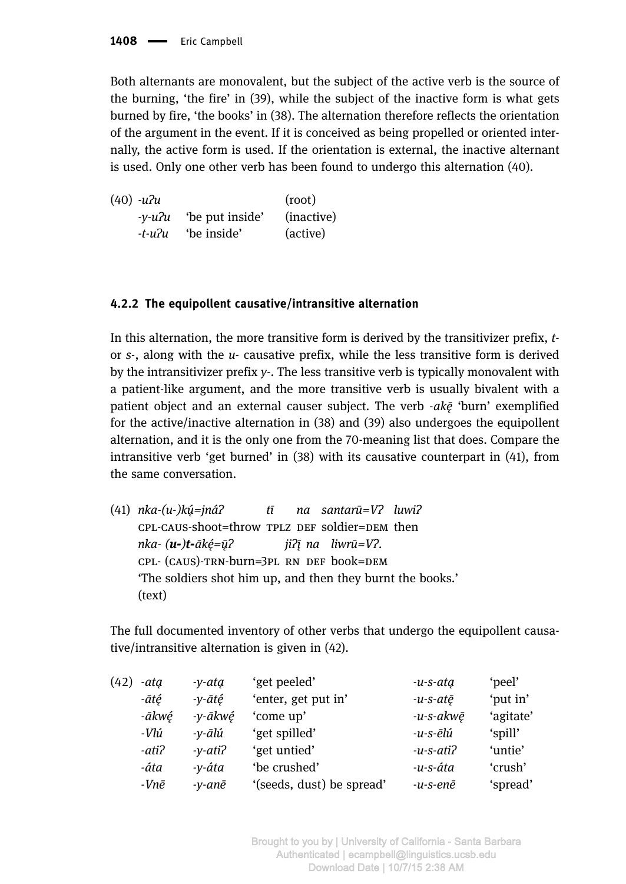Both alternants are monovalent, but the subject of the active verb is the source of the burning, 'the fire' in (39), while the subject of the inactive form is what gets burned by fire, 'the books' in (38). The alternation therefore reflects the orientation of the argument in the event. If it is conceived as being propelled or oriented internally, the active form is used. If the orientation is external, the inactive alternant is used. Only one other verb has been found to undergo this alternation (40).

| (40) -uʔu |                             | (root)     |
|-----------|-----------------------------|------------|
| -v-uʔu    | be put inside' <sub>b</sub> | (inactive) |
| -t-uʔu    | 'be inside'                 | (active)   |

### **4.2.2 The equipollent causative/intransitive alternation**

In this alternation, the more transitive form is derived by the transitivizer prefix, *t‑* or *s-*, along with the *u-* causative prefix, while the less transitive form is derived by the intransitivizer prefix *y‑*. The less transitive verb is typically monovalent with a patient-like argument, and the more transitive verb is usually bivalent with a patient object and an external causer subject. The verb *-akę̄* 'burn' exemplified for the active/inactive alternation in (38) and (39) also undergoes the equipollent alternation, and it is the only one from the 70-meaning list that does. Compare the intransitive verb 'get burned' in (38) with its causative counterpart in (41), from the same conversation.

(41) *nka-(u-)kú=jnáʔ tī na santarū=Vʔ luwiʔ ̨* cpl-caus-shoot=throw tplz def soldier=dem then *nka- (u-)t-āké=ų̄ ʔ jiʔī ̨ ̨ na liwrū=Vʔ*. cpl- (caus)-trn-burn=3pl rn def book=dem 'The soldiers shot him up, and then they burnt the books.' (text)

The full documented inventory of other verbs that undergo the equipollent causative/intransitive alternation is given in (42).

| (42) | -ata  | $-v$ -ata | 'get peeled'              | -u-s-ata              | 'peel'    |
|------|-------|-----------|---------------------------|-----------------------|-----------|
|      | -āté  | -v-āté    | 'enter, get put in'       | -u-s-atē              | 'put in'  |
|      | -ākwé | -v-ākwé   | 'come up'                 | $-u$ -s-akw $\bar{e}$ | 'agitate' |
|      | -Vlú  | -v-ālú    | 'get spilled'             | -u-s-ēlú              | 'spill'   |
|      | -ati? | -v-ati?   | 'get untied'              | -u-s-ati?             | 'untie'   |
|      | -áta  | -y-áta    | 'be crushed'              | -u-s-áta              | 'crush'   |
|      | -Vnē  | -y-anē    | '(seeds, dust) be spread' | -u-s-enē              | 'spread'  |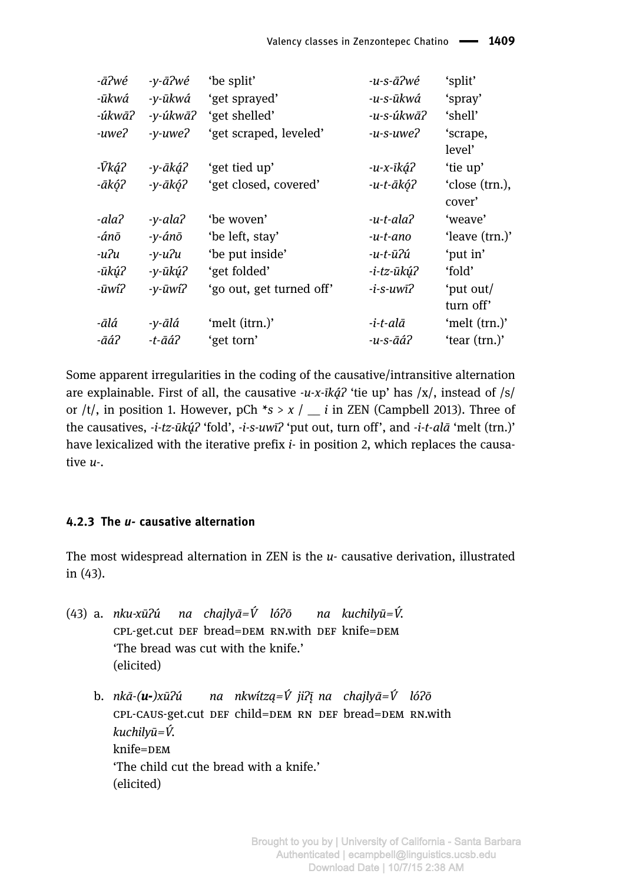| 'get sprayed'<br>-u-s-ūkwá<br>-ūkwá<br>-y-ūkwá                | 'spray'        |
|---------------------------------------------------------------|----------------|
| -úkwā?<br>-y-úkwā?<br>'get shelled'<br>-u-s-úkwāʔ             | 'shell'        |
| 'get scraped, leveled'<br>$-v$ -uwe $v$<br>-uwe?<br>-u-s-uwe? | 'scrape,       |
|                                                               | level'         |
| -Vká?<br>-y-āká?<br>'get tied up'<br>-u-x-īká?                | 'tie up'       |
| 'get closed, covered'<br>-ākó?<br>$-y$ -ākó?<br>-u-t-ākó?     | 'close (trn.), |
|                                                               | cover'         |
| -ala?<br>$-v$ -ala?<br>'he woven'<br>-u-t-ala?                | 'weave'        |
| -y-ánō<br>'be left, stay'<br>-ánō<br>-u-t-ano                 | 'leave (trn.)' |
| -น?น<br>-v-u?u<br>'be put inside'<br>-u-t-ūʔú                 | 'put in'       |
| 'get folded'<br>-ūkų́?<br>-y-ūkú?<br>-i-tz-ūkú?               | 'fold'         |
| 'go out, get turned off'<br>-ūwí?<br>-y-ūwí?<br>-i-s-uwī?     | 'put out/      |
|                                                               | turn off'      |
| -ālá<br>'melt (itrn.)'<br>-y-ālá<br>-i-t-alā                  | 'melt (trn.)'  |
| -āáʔ<br>-t-āáʔ<br>'get torn'<br>-u-s-āá?                      | 'tear (trn.)'  |

Some apparent irregularities in the coding of the causative/intransitive alternation are explainable. First of all, the causative *-u-x-īká?* 'tie up' has /x/, instead of /s/ or  $/t/$ , in position 1. However, pCh  $*_s$  >  $x / \_$  *i* in ZEN (Campbell 2013). Three of the causatives, *‑i-tz-ūkúʔ̨* 'fold', *‑i‑s‑uwīʔ* 'put out, turn off', and *‑i‑t-alā* 'melt (trn.)' have lexicalized with the iterative prefix *i-* in position 2, which replaces the causative *u‑*.

#### **4.2.3 The** *u-* **causative alternation**

The most widespread alternation in ZEN is the *u‑* causative derivation, illustrated in (43).

- (43) a. *nku-xūʔú na chajlyā=V́ lóʔō na kuchilyū=V́* na kuchily $\bar{u} = \hat{V}$ . cpl-get.cut def bread=dem rn.with def knife=dem 'The bread was cut with the knife.' (elicited)
	- b. *nkā-(u-)xūʔú na nkwítzą=V́ jiʔī ̨ na chajlyā=V́ lóʔō* cpl-caus-get.cut def child=dem rn def bread=dem rn.with *kuchilyū=V́* .  $knife=DEM$ 'The child cut the bread with a knife.' (elicited)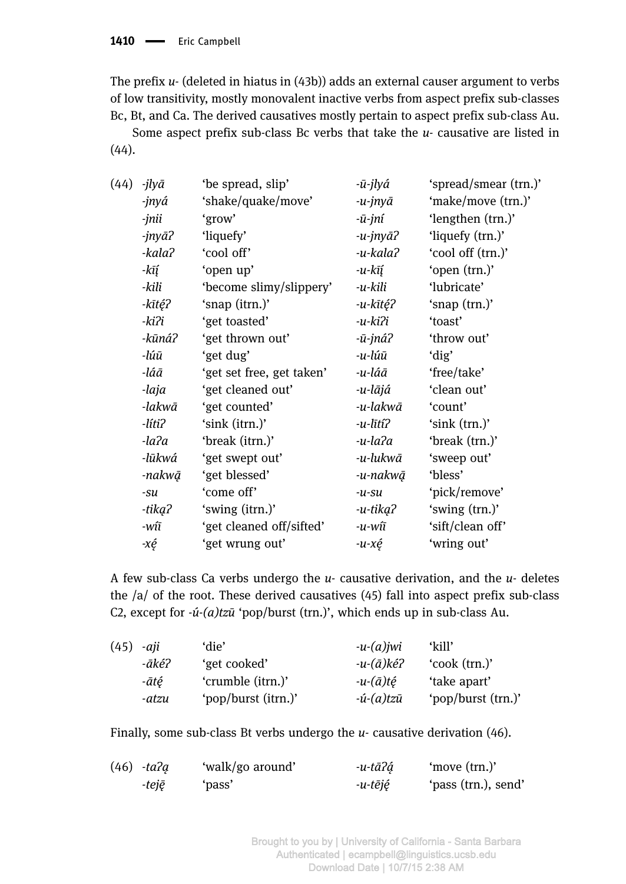#### 1410 - Eric Campbell

The prefix *u‑* (deleted in hiatus in (43b)) adds an external causer argument to verbs of low transitivity, mostly monovalent inactive verbs from aspect prefix sub-classes Bc, Bt, and Ca. The derived causatives mostly pertain to aspect prefix sub-class Au.

Some aspect prefix sub-class Bc verbs that take the *u‑* causative are listed in (44).

| (44) | -jlyā    | 'be spread, slip'         | -ū-jlyá   | 'spread/smear (trn.)' |
|------|----------|---------------------------|-----------|-----------------------|
|      | jnyá     | 'shake/quake/move'        | -u-jnyā   | 'make/move (trn.)'    |
|      | -jnii    | 'grow'                    | -ū-jní    | 'lengthen (trn.)'     |
|      | -jnyā?   | 'liquefy'                 | -u-jnyā?  | 'liquefy (trn.)'      |
|      | -kala?   | 'cool off'                | -u-kala?  | 'cool off (trn.)'     |
|      | -kīį́    | 'open up'                 | -u-kīį́   | 'open (trn.)'         |
|      | -kili    | 'become slimy/slippery'   | -u-kili   | 'lubricate'           |
|      | -kītę́?  | 'snap (itrn.)'            | -u-kītę́? | 'snap (trn.)'         |
|      | -kiʔi    | 'get toasted'             | -u-kiʔi   | 'toast'               |
|      | -kūná?   | 'get thrown out'          | -ū-jná?   | 'throw out'           |
|      | -lúū     | 'get dug'                 | -u-lúū    | 'dig'                 |
|      | -láā     | 'get set free, get taken' | -u-láā    | 'free/take'           |
|      | -laja    | 'get cleaned out'         | -u-lājá   | 'clean out'           |
|      | -lakwā   | 'get counted'             | -u-lakwā  | 'count'               |
|      | -líti?   | 'sink (itrn.)'            | -u-lītí?  | 'sink (trn.)'         |
|      | $-la$ ?a | 'break (itrn.)'           | -u-la?a   | 'break (trn.)'        |
|      | -lūkwá   | 'get swept out'           | -u-lukwā  | 'sweep out'           |
|      | -nakwā   | 'get blessed'             | -u-nakwā  | 'bless'               |
|      | -su      | 'come off'                | $-u-su$   | 'pick/remove'         |
|      | -tika?   | 'swing (itrn.)'           | -u-tika?  | 'swing (trn.)'        |
|      | -wíī     | 'get cleaned off/sifted'  | -u-wíī    | 'sift/clean off'      |
|      | -xé      | 'get wrung out'           | -u-xé     | 'wring out'           |

A few sub-class Ca verbs undergo the *u‑* causative derivation, and the *u‑* deletes the  $|a|$  of the root. These derived causatives  $(45)$  fall into aspect prefix sub-class C2, except for *-ú‑(a)tzū* 'pop/burst (trn.)', which ends up in sub-class Au.

| (45) | -aji  | 'die'               | $-u$ - $(a)$ jwi           | 'kill'             |
|------|-------|---------------------|----------------------------|--------------------|
|      | -āké? | 'get cooked'        | $-u-(\bar{a})k\acute{e}$ ? | 'cook (trn.)'      |
|      | -āté  | 'crumble (itrn.)'   | -u-(ā)té                   | 'take apart'       |
|      | -atzu | 'pop/burst (itrn.)' | $-i$ i- $(a)$ tzū          | 'pop/burst (trn.)' |

Finally, some sub-class Bt verbs undergo the *u‑* causative derivation (46).

| $(46)$ -ta?a | 'walk/go around' | -u-tāʔá | 'move (trn.)'       |
|--------------|------------------|---------|---------------------|
| -tejē        | 'pass'           | -u-tējé | 'pass (trn.), send' |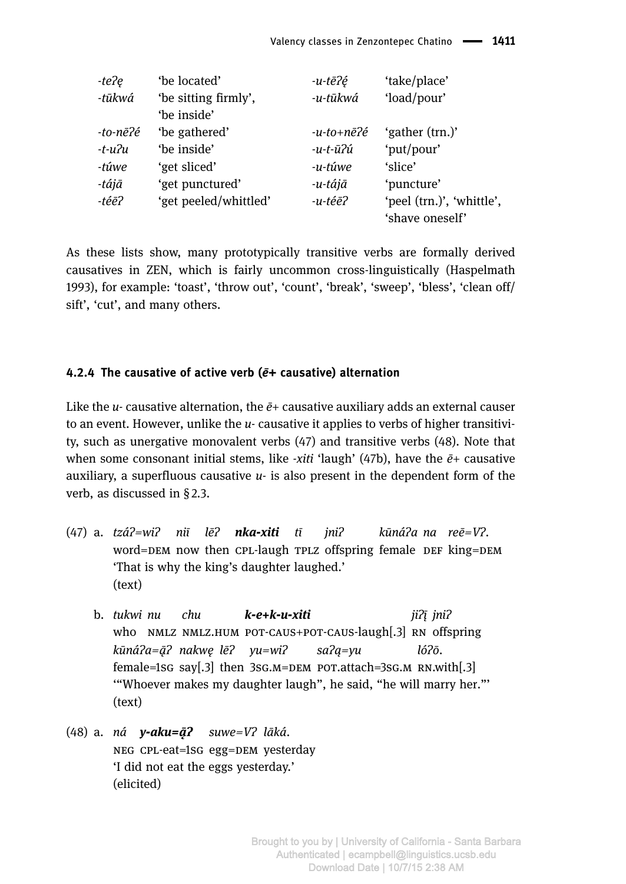| -te?e    | 'be located'          | -u-tēʔę́   | 'take/place'              |
|----------|-----------------------|------------|---------------------------|
| -tūkwá   | 'be sitting firmly',  | -u-tūkwá   | 'load/pour'               |
|          | 'be inside'           |            |                           |
| -to-nēʔé | 'be gathered'         | -u-to+nēʔé | 'gather (trn.)'           |
| -t-uʔu   | 'be inside'           | -u-t-ūʔú   | 'put/pour'                |
| -túwe    | 'get sliced'          | -u-túwe    | 'slice'                   |
| -tájā    | 'get punctured'       | -u-tájā    | 'puncture'                |
| -téē?    | 'get peeled/whittled' | -u-téē?    | 'peel (trn.)', 'whittle', |
|          |                       |            | 'shave oneself'           |

As these lists show, many prototypically transitive verbs are formally derived causatives in ZEN, which is fairly uncommon cross-linguistically (Haspelmath 1993), for example: 'toast', 'throw out', 'count', 'break', 'sweep', 'bless', 'clean off/ sift', 'cut', and many others.

### **4.2.4 The causative of active verb (***ē***+ causative) alternation**

Like the  $u$ - causative alternation, the  $\bar{e}$ + causative auxiliary adds an external causer to an event. However, unlike the *u‑* causative it applies to verbs of higher transitivity, such as unergative monovalent verbs (47) and transitive verbs (48). Note that when some consonant initial stems, like *-xiti* 'laugh' (47b), have the  $\bar{e}_+$  causative auxiliary, a superfluous causative *u‑* is also present in the dependent form of the verb, as discussed in § 2.3.

- (47) a. *tzáʔ=wiʔ niī lēʔ nka-xiti tī jniʔ kūnáʔa na reē=Vʔ*. word= $DEM$  now then CPL-laugh TPLZ offspring female DEF king= $DEM$ 'That is why the king's daughter laughed.' (text)
	- b. *tukwi nu chu k-e***+***k-u-xiti jiʔī ̨ jniʔ* who NMLZ NMLZ.HUM POT-CAUS+POT-CAUS-laugh[.3] RN offspring *kūnáʔa=āʔ nakwę lēʔ yu=wiʔ saʔą=yu lóʔō ̨* . female=1sg say[.3] then  $3sG.M=DEM$  por.attach=3sg.m  $RN$ .with[.3] '"Whoever makes my daughter laugh", he said, "he will marry her."' (text)
- (48) a. *ná y-aku=āʔ̨ suwe=Vʔ lāká*. neg cpl-eat=1sg egg=dem yesterday 'I did not eat the eggs yesterday.' (elicited)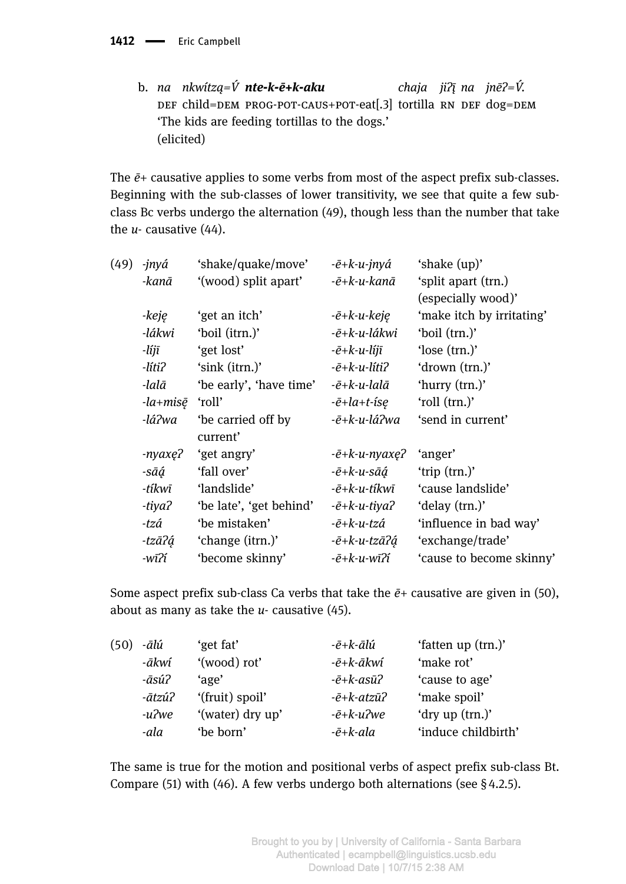b. *na nkwítzą=V́ nte-k-ē***+***k-aku chaja jiʔī ̨ na jnēʔ=V́* chaja ji $\partial$ i na jne $\partial = V$ . DEF child=DEM PROG-POT-CAUS+POT-eat[.3] tortilla RN DEF dog=DEM 'The kids are feeding tortillas to the dogs.' (elicited)

The *ē*+ causative applies to some verbs from most of the aspect prefix sub-classes. Beginning with the sub-classes of lower transitivity, we see that quite a few subclass Bc verbs undergo the alternation (49), though less than the number that take the *u‑* causative (44).

| (49) | -jnyá    | 'shake/quake/move'      | -ē+k-u-jnyá                | 'shake (up)'              |
|------|----------|-------------------------|----------------------------|---------------------------|
|      | -kanā    | '(wood) split apart'    | -ē+k-u-kanā                | 'split apart (trn.)       |
|      |          |                         |                            | (especially wood)'        |
|      | -keję    | 'get an itch'           | $-\bar{e}$ +k-u-keję       | 'make itch by irritating' |
|      | -lákwi   | 'boil (itrn.)'          | -ē+k-u-lákwi               | 'boil (trn.)'             |
|      | -líjī    | 'get lost'              | -ē+k-u-líjī                | 'lose (trn.)'             |
|      | -líti?   | 'sink (itrn.)'          | -ē+k-u-líti?               | 'drown (trn.)'            |
|      | -lalā    | 'be early', 'have time' | -ē+k-u-lalā                | 'hurry (trn.)'            |
|      | -la+misē | 'roll'                  | -ē+la+t-íse                | 'roll (trn.)'             |
|      | -láʔwa   | 'be carried off by      | -ē+k-u-láʔwa               | 'send in current'         |
|      |          | current'                |                            |                           |
|      | -nyaxę?  | 'get angry'             | $-\bar{e}$ + $k$ -u-nyaxę? | 'anger'                   |
|      | -sāá     | 'fall over'             | -ē+k-u-sāá                 | 'trip (trn.)'             |
|      | -tíkwī   | 'landslide'             | -ē+k-u-tíkwī               | 'cause landslide'         |
|      | -tiya?   | 'be late', 'get behind' | $-\bar{e}$ + $k$ -u-tiya?  | 'delay (trn.)'            |
|      | -tzá     | 'be mistaken'           | -ē+k-u-tzá                 | 'influence in bad way'    |
|      | -tzāʔá   | 'change (itrn.)'        | -ē+k-u-tzāʔá               | 'exchange/trade'          |
|      | -wī?í    | 'become skinny'         | -ē+k-u-wī?í                | 'cause to become skinny'  |
|      |          |                         |                            |                           |

Some aspect prefix sub-class Ca verbs that take the  $\bar{e}$ + causative are given in (50), about as many as take the *u‑* causative (45).

| (50) | -ālú   | 'get fat'        | -ē+k-ālú                         | 'fatten up (trn.)'  |
|------|--------|------------------|----------------------------------|---------------------|
|      | -ākwí  | '(wood) rot'     | -ē+k-ākwí                        | 'make rot'          |
|      | -āsú?  | 'age'            | $-\bar{e}+k$ -asū $\overline{a}$ | 'cause to age'      |
|      | -ātzú? | '(fruit) spoil'  | $-\bar{e}$ + $k$ -atzū?          | 'make spoil'        |
|      | -uʔwe  | '(water) dry up' | -ē+k-uʔwe                        | 'dry up (trn.)'     |
|      | -ala   | 'be born'        | $-\bar{e}+k$ -ala                | 'induce childbirth' |

The same is true for the motion and positional verbs of aspect prefix sub-class Bt. Compare (51) with (46). A few verbs undergo both alternations (see  $\S 4.2.5$ ).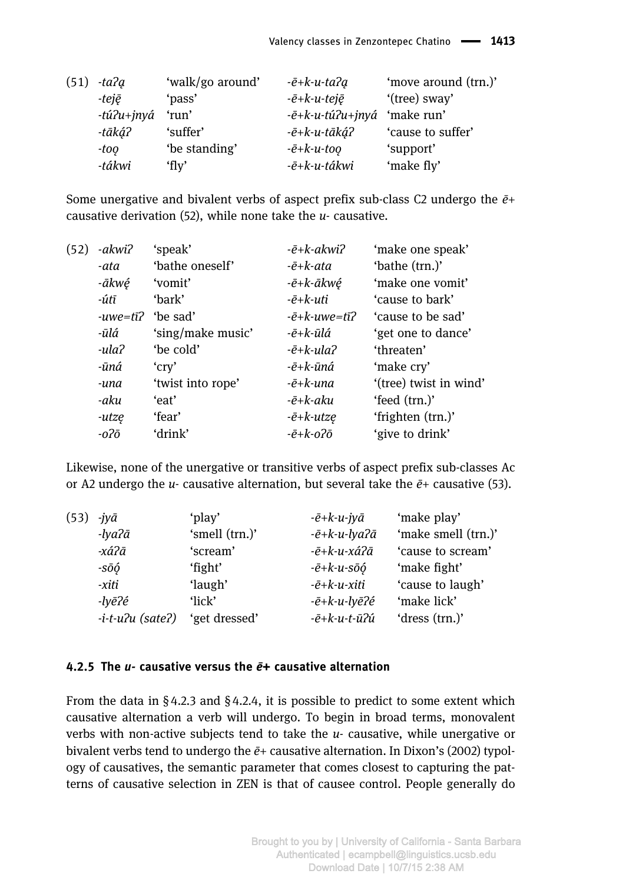| (51) | -taʔa      | 'walk/go around' | $-\bar{e}$ + $k$ - $u$ -ta $2a$   | 'move around (trn.)' |
|------|------------|------------------|-----------------------------------|----------------------|
|      | -tejē      | 'pass'           | $-\bar{e}$ + $k$ -u-tej $\bar{e}$ | '(tree) sway'        |
|      | -tú?u+jnyá | 'run'            | -ē+k-u-túʔu+jnyá                  | 'make run'           |
|      | -tāká?     | 'suffer'         | -ē+k-u-tāká?                      | 'cause to suffer'    |
|      | -too       | 'be standing'    | $-\bar{e}$ + $k$ - $u$ -too       | 'support'            |
|      | -tákwi     | 'flv'            | -ē+k-u-tákwi                      | 'make fly'           |

Some unergative and bivalent verbs of aspect prefix sub-class C2 undergo the *ē*+ causative derivation (52), while none take the *u‑* causative.

| (52) | -akwi?   | 'speak'           | $-\bar{e}+k-akwi$ ?                     | 'make one speak'       |
|------|----------|-------------------|-----------------------------------------|------------------------|
|      | -ata     | 'bathe oneself'   | -ē+k-ata                                | 'bathe (trn.)'         |
|      | -ākwé    | 'vomit'           | -ē+k-ākwé                               | 'make one vomit'       |
|      | -útī     | 'hark'            | $-\bar{e}+k$ -uti                       | 'cause to bark'        |
|      | -uwe=tī? | 'he sad'          | $-\bar{e}$ + $k$ -uwe=tī $\overline{c}$ | 'cause to be sad'      |
|      | -ūlá     | 'sing/make music' | $-\bar{e}+k$ -ūlá                       | 'get one to dance'     |
|      | -ula?    | 'be cold'         | $-\bar{e}+k$ -ula?                      | 'threaten'             |
|      | -ūná     | 'cry'             | $-\bar{e}+k$ -ūná                       | 'make cry'             |
|      | -una     | 'twist into rope' | -ē+k-una                                | '(tree) twist in wind' |
|      | -aku     | 'eat'             | -ē+k-aku                                | 'feed (trn.)'          |
|      | -utze    | 'fear'            | -ē+k-utze                               | 'frighten (trn.)'      |
|      | $-0.20$  | 'drink'           | $-\bar{e}+k-0.02\bar{0}$                | 'give to drink'        |
|      |          |                   |                                         |                        |

Likewise, none of the unergative or transitive verbs of aspect prefix sub-classes Ac or A2 undergo the  $u$ - causative alternation, but several take the  $\bar{e}$ + causative (53).

| $(53)$ -jy $\bar{a}$ |                            | 'play'         | $-\bar{e}+k-u-jy\bar{a}$    | 'make play'         |
|----------------------|----------------------------|----------------|-----------------------------|---------------------|
|                      | -lyaʔā                     | 'smell (trn.)' | $-\bar{e}+k-u-lya2\bar{a}$  | 'make smell (trn.)' |
|                      | -xáʔā                      | 'scream'       | -ē+k-u-xáʔā                 | 'cause to scream'   |
|                      | -sōó                       | 'fight'        | $-\bar{e}$ + $k$ - $u$ -sōó | 'make fight'        |
|                      | -xiti                      | 'laugh'        | -ē+k-u-xiti                 | 'cause to laugh'    |
|                      | $-ly\bar{e}$ ? $\acute{e}$ | 'lick'         | -ē+k-u-lyē?é                | 'make lick'         |
|                      | $-i$ -t-u $2u$ (sate $2$ ) | 'get dressed'  | -ē+k-u-t-ū?ú                | 'dress (trn.)'      |

### **4.2.5 The** *u-* **causative versus the** *ē***+ causative alternation**

From the data in §4.2.3 and §4.2.4, it is possible to predict to some extent which causative alternation a verb will undergo. To begin in broad terms, monovalent verbs with non-active subjects tend to take the *u‑* causative, while unergative or bivalent verbs tend to undergo the *ē*+ causative alternation. In Dixon's (2002) typology of causatives, the semantic parameter that comes closest to capturing the patterns of causative selection in ZEN is that of causee control. People generally do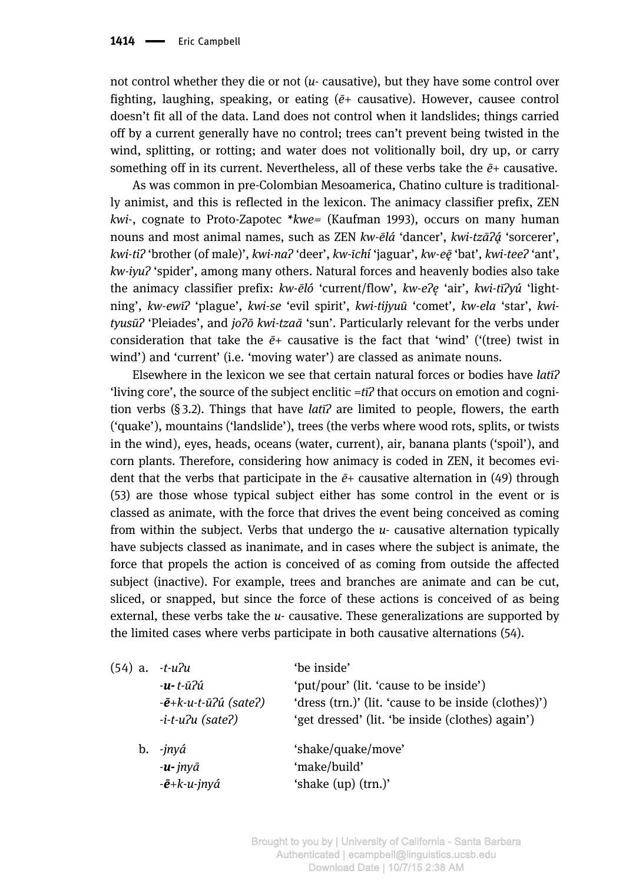not control whether they die or not (*u-* causative), but they have some control over fighting, laughing, speaking, or eating  $(\bar{e}_+$  causative). However, causee control doesn't fit all of the data. Land does not control when it landslides; things carried off by a current generally have no control; trees can't prevent being twisted in the wind, splitting, or rotting; and water does not volitionally boil, dry up, or carry something off in its current. Nevertheless, all of these verbs take the  $\bar{e}_+$  causative.

As was common in pre-Colombian Mesoamerica, Chatino culture is traditionally animist, and this is reflected in the lexicon. The animacy classifier prefix, ZEN *kwi‑*, cognate to Proto-Zapotec *\*kwe=* (Kaufman 1993), occurs on many human nouns and most animal names, such as ZEN *kw-ēlá* 'dancer', *kwi‑tzāʔą́* 'sorcerer', *kwi‑tiʔ* 'brother (of male)', *kwi-naʔ* 'deer', *kw-īchí* 'jaguar', *kw-eę̄* 'bat', *kwi-teeʔ* 'ant', *kw-iyuʔ* 'spider', among many others. Natural forces and heavenly bodies also take the animacy classifier prefix: *kw-ēló* 'current/flow', *kw‑eʔę* 'air', *kwi‑tīʔyú* 'lightning', *kw-ewīʔ* 'plague', *kwi-se* 'evil spirit', *kwi‑tijyuū* 'comet', *kw‑ela* 'star', *kwityusūʔ* 'Pleiades', and *joʔō kwi-tzaā* 'sun'. Particularly relevant for the verbs under consideration that take the  $\bar{e}$ + causative is the fact that 'wind' ('(tree) twist in wind') and 'current' (i.e. 'moving water') are classed as animate nouns.

Elsewhere in the lexicon we see that certain natural forces or bodies have *latīʔ* 'living core', the source of the subject enclitic =*tīʔ* that occurs on emotion and cognition verbs (§ 3.2). Things that have *latīʔ* are limited to people, flowers, the earth ('quake'), mountains ('landslide'), trees (the verbs where wood rots, splits, or twists in the wind), eyes, heads, oceans (water, current), air, banana plants ('spoil'), and corn plants. Therefore, considering how animacy is coded in ZEN, it becomes evident that the verbs that participate in the  $\bar{e}$  causative alternation in (49) through (53) are those whose typical subject either has some control in the event or is classed as animate, with the force that drives the event being conceived as coming from within the subject. Verbs that undergo the *u‑* causative alternation typically have subjects classed as inanimate, and in cases where the subject is animate, the force that propels the action is conceived of as coming from outside the affected subject (inactive). For example, trees and branches are animate and can be cut, sliced, or snapped, but since the force of these actions is conceived of as being external, these verbs take the *u‑* causative. These generalizations are supported by the limited cases where verbs participate in both causative alternations (54).

|    | (54) a. - <i>t</i> -u?u       | 'be inside'                                          |
|----|-------------------------------|------------------------------------------------------|
|    | - <b>u-</b> t-ūʔú             | 'put/pour' (lit. 'cause to be inside')               |
|    | $-\bar{e}$ +k-u-t-ūʔú (sateʔ) | 'dress (trn.)' (lit. 'cause to be inside (clothes)') |
|    | $-i$ -t-u $2u$ (sate $2$ )    | 'get dressed' (lit. 'be inside (clothes) again')     |
| b. | -jnyá                         | 'shake/quake/move'                                   |
|    | - <b>u-</b> invā              | 'make/build'                                         |
|    | $-\bar{e}$ + $k$ - $u$ -jnyá  | 'shake (up) (trn.)'                                  |
|    |                               |                                                      |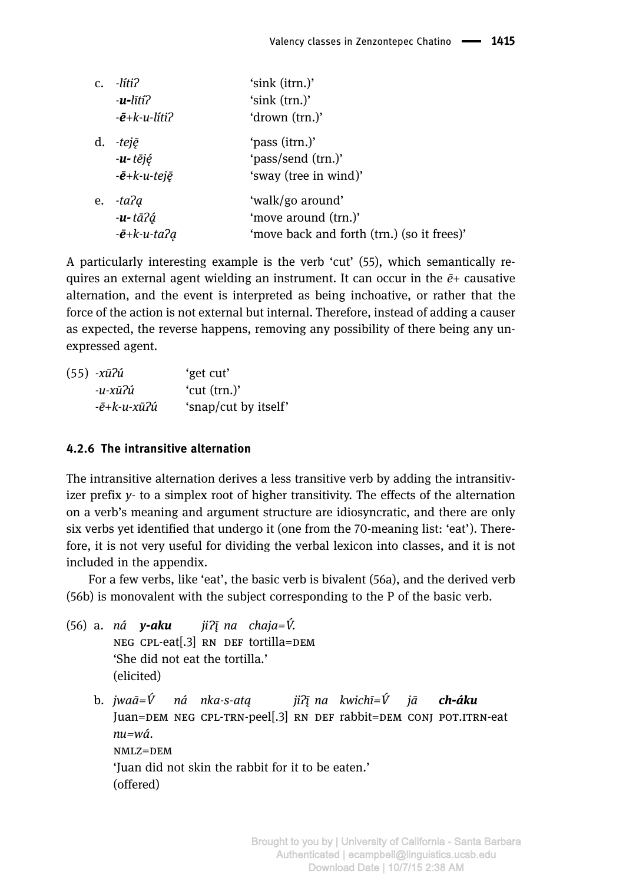| C. | -líti?<br>-u-lītí?<br>$-\bar{e}$ +k-u-líti?               | 'sink (itrn.)'<br>'sink (trn.)'<br>'drown (trn.)'                                      |
|----|-----------------------------------------------------------|----------------------------------------------------------------------------------------|
| d. | -tejē<br>- <b>u-</b> tēję<br>- $\bar{e}$ +k-u-tejē        | 'pass (itrn.)'<br>'pass/send (trn.)'<br>'sway (tree in wind)'                          |
| e. | -taʔa<br>- <b>u-</b> tāʔą́<br>$-\bar{e}$ + $k$ -u-ta $2a$ | 'walk/go around'<br>'move around (trn.)'<br>'move back and forth (trn.) (so it frees)' |

A particularly interesting example is the verb 'cut' (55), which semantically requires an external agent wielding an instrument. It can occur in the *ē*+ causative alternation, and the event is interpreted as being inchoative, or rather that the force of the action is not external but internal. Therefore, instead of adding a causer as expected, the reverse happens, removing any possibility of there being any unexpressed agent.

| (55) -xūʔú  | 'get cut'            |
|-------------|----------------------|
| -u-xūʔú     | 'cut (trn.)'         |
| -ē+k-u-xūʔú | 'snap/cut by itself' |

#### **4.2.6 The intransitive alternation**

The intransitive alternation derives a less transitive verb by adding the intransitivizer prefix  $v<sub>1</sub>$  to a simplex root of higher transitivity. The effects of the alternation on a verb's meaning and argument structure are idiosyncratic, and there are only six verbs yet identified that undergo it (one from the 70-meaning list: 'eat'). Therefore, it is not very useful for dividing the verbal lexicon into classes, and it is not included in the appendix.

For a few verbs, like 'eat', the basic verb is bivalent (56a), and the derived verb (56b) is monovalent with the subject corresponding to the P of the basic verb.

- (56) a. *ná y-aku jiɁī ̨ na chaja=V́* ji?ī na chaja=V. neg cpl-eat[.3] rn def tortilla=dem 'She did not eat the tortilla.' (elicited)
	- b. *jwaā=V́ ná nka-s-atą jiʔī ̨ na kwichī=V́ jā ch-áku* Juan=dem neg cpl-trn-peel[.3] rn def rabbit=dem conj pot.itrn-eat *nu=wá*. nmlz=dem 'Juan did not skin the rabbit for it to be eaten.' (offered)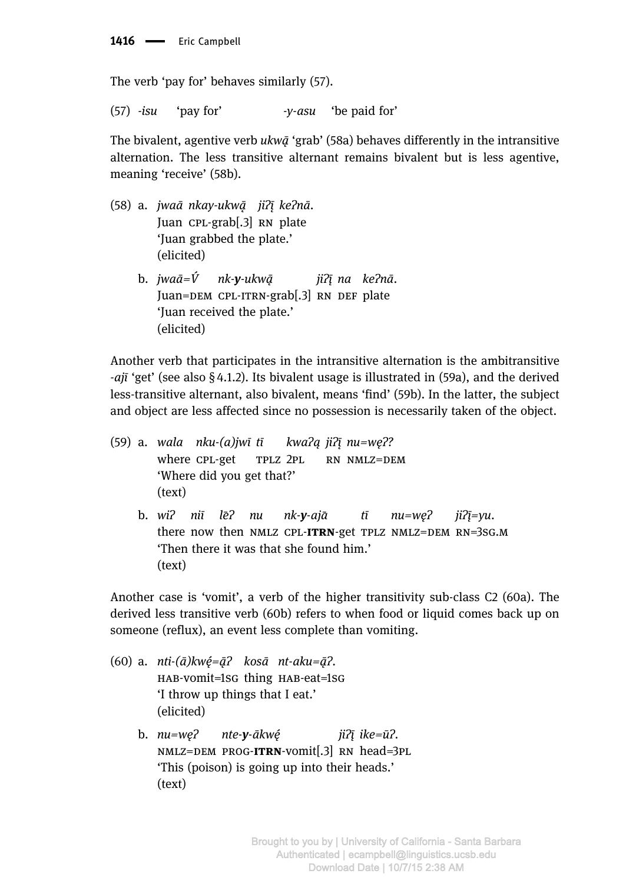The verb 'pay for' behaves similarly (57).

(57) *-isu* 'pay for' *-y-asu* 'be paid for'

The bivalent, agentive verb *ukwą̄* 'grab' (58a) behaves differently in the intransitive alternation. The less transitive alternant remains bivalent but is less agentive, meaning 'receive' (58b).

- (58) a. *jwaā nkay-ukwą̄ jiʔī ̨ keʔnā*. Juan CPL-grab[.3] RN plate 'Juan grabbed the plate.' (elicited)
	- b. *jwaā=V́ nk-y-ukwą̄ jiʔī ̨ na keʔnā*. Juan=DEM CPL-ITRN-grab[.3] RN DEF plate 'Juan received the plate.' (elicited)

Another verb that participates in the intransitive alternation is the ambitransitive *‑ajī* 'get' (see also § 4.1.2). Its bivalent usage is illustrated in (59a), and the derived less-transitive alternant, also bivalent, means 'find' (59b). In the latter, the subject and object are less affected since no possession is necessarily taken of the object.

- (59) a. *wala nku-(a)jwī tī kwaʔą jiʔī ̨ nu=węʔ?* where CPL-get TPLZ 2PL RN NMLZ=DEM 'Where did you get that?' (text)
	- b. *wiʔ niī lēʔ nu nk-y-ajā tī nu=węʔ jiʔī=yu ̨* . there now then NMLZ CPL-ITRN-get TPLZ NMLZ=DEM RN=3SG.M 'Then there it was that she found him.' (text)

Another case is 'vomit', a verb of the higher transitivity sub-class C2 (60a). The derived less transitive verb (60b) refers to when food or liquid comes back up on someone (reflux), an event less complete than vomiting.

- (60) a. *nti-(ā)kwé=ą̄ ʔ kosā nt-aku=ā ̨ ʔ̨* . hab-vomit=1sg thing hab-eat=1sg 'I throw up things that I eat.' (elicited)
	- b. *nu=węʔ nte-y-ākwę́ jiʔī ̨ ike=ūʔ*. nmlz=dem prog-**itrn**-vomit[.3] rn head=3pl 'This (poison) is going up into their heads.' (text)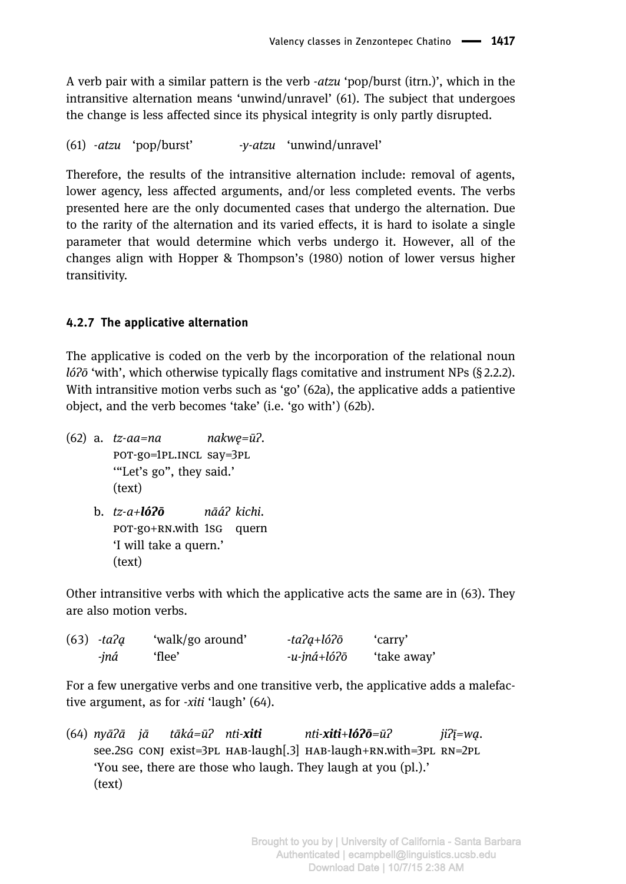A verb pair with a similar pattern is the verb *‑atzu* 'pop/burst (itrn.)', which in the intransitive alternation means 'unwind/unravel' (61). The subject that undergoes the change is less affected since its physical integrity is only partly disrupted.

(61) *-atzu* 'pop/burst' *-y‑atzu* 'unwind/unravel'

Therefore, the results of the intransitive alternation include: removal of agents, lower agency, less affected arguments, and/or less completed events. The verbs presented here are the only documented cases that undergo the alternation. Due to the rarity of the alternation and its varied effects, it is hard to isolate a single parameter that would determine which verbs undergo it. However, all of the changes align with Hopper & Thompson's (1980) notion of lower versus higher transitivity.

### **4.2.7 The applicative alternation**

The applicative is coded on the verb by the incorporation of the relational noun *ló* $\overline{2}$ <sup>6</sup> 'with', which otherwise typically flags comitative and instrument NPs (§ 2.2.2). With intransitive motion verbs such as 'go' (62a), the applicative adds a patientive object, and the verb becomes 'take' (i.e. 'go with') (62b).

- (62) a. *tz-aa=na nakwę=ūʔ*. pot-go=1pl.incl say=3pl '"Let's go", they said.' (text)
	- b. *tz-a+lóʔō nāáʔ kichi*. pot-go+rn.with 1sg quern 'I will take a quern.' (text)

Other intransitive verbs with which the applicative acts the same are in (63). They are also motion verbs.

| $(63)$ -ta?a | 'walk/go around' | -taʔa+lóʔō  | 'carry'     |
|--------------|------------------|-------------|-------------|
| -iná         | 'flee'           | -u-jná+ló?ō | 'take away' |

For a few unergative verbs and one transitive verb, the applicative adds a malefactive argument, as for *‑xiti* 'laugh' (64).

(64) *nyāʔā jā tāká=ūʔ nti-xiti nti-xiti*+*lóʔō=ūʔ jiʔī=wa ̨* .*̨* see.2sg conj exist=3pL HAB-laugh[.3] HAB-laugh+RN.with=3pL RN=2pL 'You see, there are those who laugh. They laugh at you (pl.).' (text)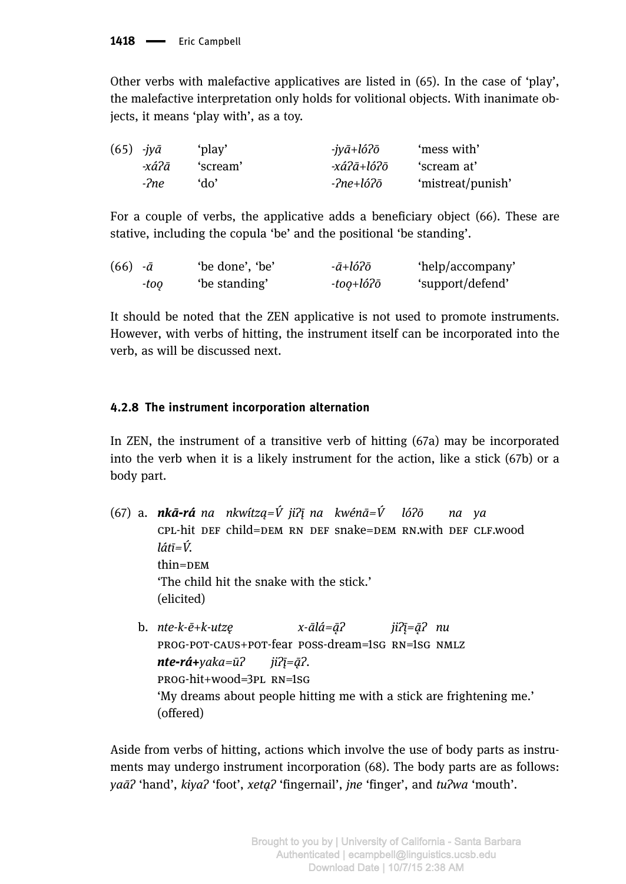Other verbs with malefactive applicatives are listed in (65). In the case of 'play', the malefactive interpretation only holds for volitional objects. With inanimate objects, it means 'play with', as a toy.

| $(65)$ -jy $\bar{a}$ |       | 'play'   | -ivā+ló?ō  | 'mess with'       |
|----------------------|-------|----------|------------|-------------------|
|                      | -xáʔā | 'scream' | -xáʔā+lóʔō | 'scream at'       |
|                      | -?ne  | 'do'     | -?ne+ló?ō  | 'mistreat/punish' |

For a couple of verbs, the applicative adds a beneficiary object (66). These are stative, including the copula 'be' and the positional 'be standing'.

| $(66)$ - $\bar{a}$ |      | 'be done', 'be' | -ā+ló?ō   | 'help/accompany' |
|--------------------|------|-----------------|-----------|------------------|
|                    | -too | 'be standing'   | -toọ+ló?ō | 'support/defend' |

It should be noted that the ZEN applicative is not used to promote instruments. However, with verbs of hitting, the instrument itself can be incorporated into the verb, as will be discussed next.

### **4.2.8 The instrument incorporation alternation**

In ZEN, the instrument of a transitive verb of hitting (67a) may be incorporated into the verb when it is a likely instrument for the action, like a stick (67b) or a body part.

- (67) a. *nkā-rá na nkwítzą=V́ jiʔī ̨ na kwénā=V́ lóʔō na ya* cpl-hit def child=dem rn def snake=dem rn.with def clf.wood *látī=V́* .  $thin = **DEM**$ 'The child hit the snake with the stick.' (elicited)
	- b. *nte-k-ē*+*k-utzę x-ālá=āʔ jiʔī ̨ =ą̄ ʔ nu ̨* prog-pot-caus+pot-fear poss-dream=1sg rn=1sg nmlz *nte-rá***+***yaka=ūʔ jiʔī=ą̄ ʔ̨* . prog-hit+wood=3pl rn=1sg 'My dreams about people hitting me with a stick are frightening me.' (offered)

Aside from verbs of hitting, actions which involve the use of body parts as instruments may undergo instrument incorporation (68). The body parts are as follows: *yaāʔ* 'hand', *kiyaʔ* 'foot', *xetaʔ̨* 'fingernail', *jne* 'finger', and *tuʔwa* 'mouth'.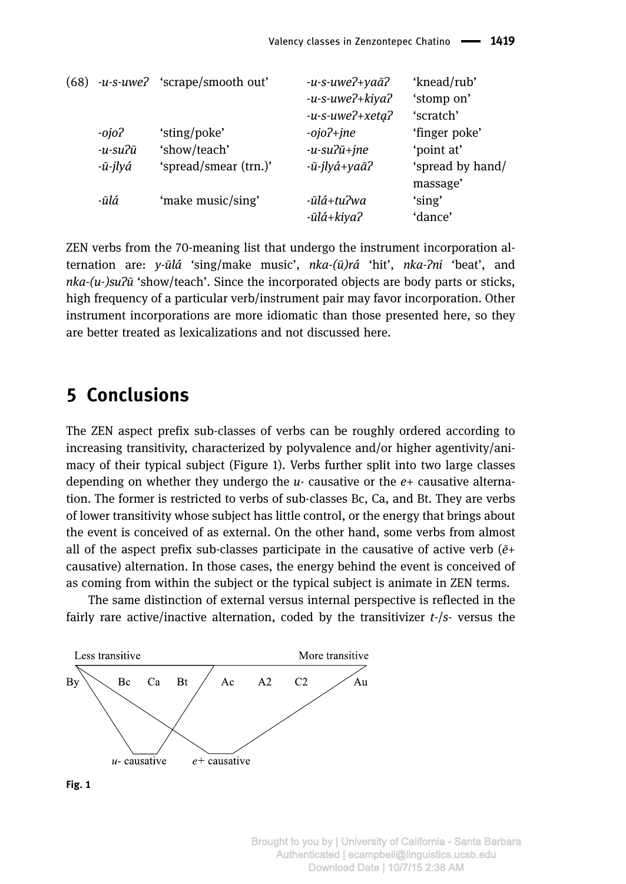| (68) |         | -u-s-uwe? 'scrape/smooth out' | -u-s-uwe?+yaā?         | 'knead/rub'      |
|------|---------|-------------------------------|------------------------|------------------|
|      |         |                               | -u-s-uwe?+kiya?        | 'stomp on'       |
|      |         |                               | -u-s-uwe?+xeta?        | 'scratch'        |
|      | $-ojo?$ | 'sting/poke'                  | $-$ ojo $\lambda$ +jne | 'finger poke'    |
|      | -u-suʔū | 'show/teach'                  | $-u-su2\bar{u}+jne$    | 'point at'       |
|      | -ū-jlyá | 'spread/smear (trn.)'         | -ū-jlyá+yaā?           | 'spread by hand/ |
|      |         |                               |                        | massage'         |
|      | -ūlá    | 'make music/sing'             | -ūlá+tuʔwa             | 'sing'           |
|      |         |                               | -ūlá+kiya?             | 'dance'          |

ZEN verbs from the 70-meaning list that undergo the instrument incorporation alternation are: *y‑ūlá* 'sing/make music', *nka‑(ū)rá* 'hit', *nka‑ʔni* 'beat', and *nka‑(u‑)suʔū* 'show/teach'. Since the incorporated objects are body parts or sticks, high frequency of a particular verb/instrument pair may favor incorporation. Other instrument incorporations are more idiomatic than those presented here, so they are better treated as lexicalizations and not discussed here.

## **5 Conclusions**

The ZEN aspect prefix sub-classes of verbs can be roughly ordered according to increasing transitivity, characterized by polyvalence and/or higher agentivity/animacy of their typical subject (Figure 1). Verbs further split into two large classes depending on whether they undergo the *u-* causative or the *e*+ causative alternation. The former is restricted to verbs of sub-classes Bc, Ca, and Bt. They are verbs of lower transitivity whose subject has little control, or the energy that brings about the event is conceived of as external. On the other hand, some verbs from almost all of the aspect prefix sub-classes participate in the causative of active verb  $(\bar{e}$ + causative) alternation. In those cases, the energy behind the event is conceived of as coming from within the subject or the typical subject is animate in ZEN terms.

The same distinction of external versus internal perspective is reflected in the fairly rare active/inactive alternation, coded by the transitivizer *t‑*/*s‑* versus the



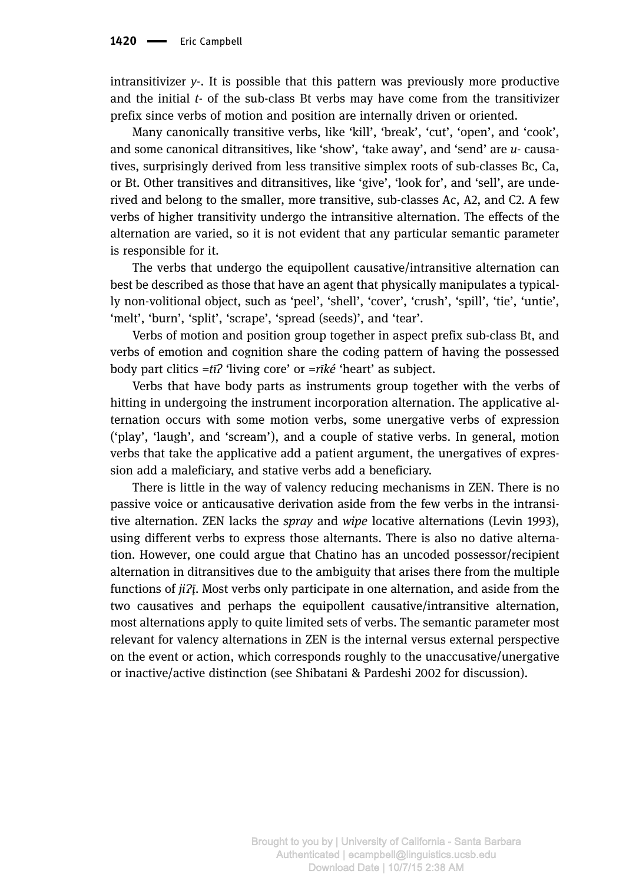intransitivizer *y‑*. It is possible that this pattern was previously more productive and the initial *t-* of the sub-class Bt verbs may have come from the transitivizer prefix since verbs of motion and position are internally driven or oriented.

Many canonically transitive verbs, like 'kill', 'break', 'cut', 'open', and 'cook', and some canonical ditransitives, like 'show', 'take away', and 'send' are *u-* causatives, surprisingly derived from less transitive simplex roots of sub-classes Bc, Ca, or Bt. Other transitives and ditransitives, like 'give', 'look for', and 'sell', are underived and belong to the smaller, more transitive, sub-classes Ac, A2, and C2. A few verbs of higher transitivity undergo the intransitive alternation. The effects of the alternation are varied, so it is not evident that any particular semantic parameter is responsible for it.

The verbs that undergo the equipollent causative/intransitive alternation can best be described as those that have an agent that physically manipulates a typically non-volitional object, such as 'peel', 'shell', 'cover', 'crush', 'spill', 'tie', 'untie', 'melt', 'burn', 'split', 'scrape', 'spread (seeds)', and 'tear'.

Verbs of motion and position group together in aspect prefix sub-class Bt, and verbs of emotion and cognition share the coding pattern of having the possessed body part clitics =*tīʔ* 'living core' or =*rīké* 'heart' as subject.

Verbs that have body parts as instruments group together with the verbs of hitting in undergoing the instrument incorporation alternation. The applicative alternation occurs with some motion verbs, some unergative verbs of expression ('play', 'laugh', and 'scream'), and a couple of stative verbs. In general, motion verbs that take the applicative add a patient argument, the unergatives of expression add a maleficiary, and stative verbs add a beneficiary.

There is little in the way of valency reducing mechanisms in ZEN. There is no passive voice or anticausative derivation aside from the few verbs in the intransitive alternation. ZEN lacks the *spray* and *wipe* locative alternations (Levin 1993), using different verbs to express those alternants. There is also no dative alternation. However, one could argue that Chatino has an uncoded possessor/recipient alternation in ditransitives due to the ambiguity that arises there from the multiple functions of *ji?i*. Most verbs only participate in one alternation, and aside from the two causatives and perhaps the equipollent causative/intransitive alternation, most alternations apply to quite limited sets of verbs. The semantic parameter most relevant for valency alternations in ZEN is the internal versus external perspective on the event or action, which corresponds roughly to the unaccusative/unergative or inactive/active distinction (see Shibatani & Pardeshi 2002 for discussion).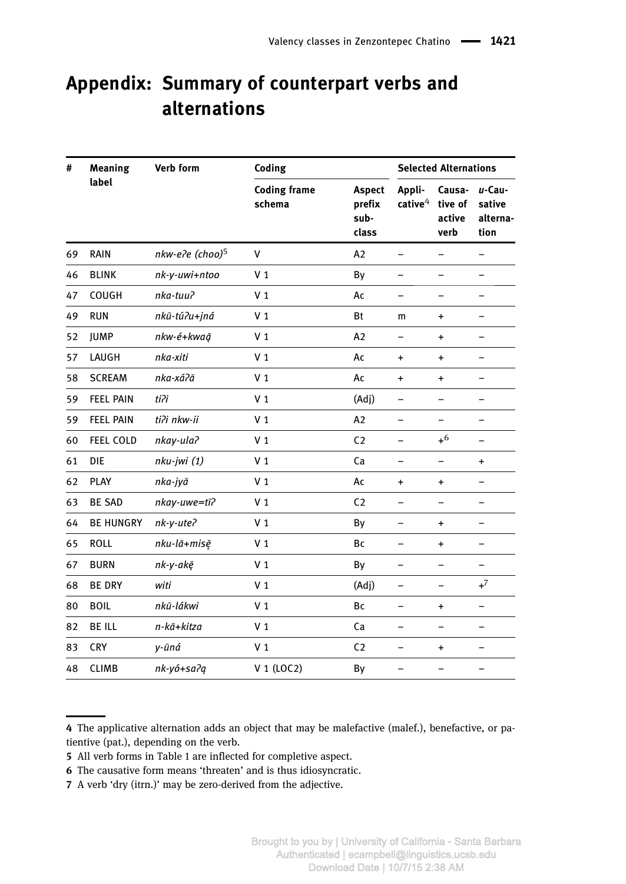| #  | <b>Meaning</b><br>label | <b>Verb form</b>            | Coding                        |                                   | <b>Selected Alternations</b>  |                                     |                                      |
|----|-------------------------|-----------------------------|-------------------------------|-----------------------------------|-------------------------------|-------------------------------------|--------------------------------------|
|    |                         |                             | <b>Coding frame</b><br>schema | Aspect<br>prefix<br>sub-<br>class | Appli-<br>cative <sup>4</sup> | Causa-<br>tive of<br>active<br>verb | u-Cau-<br>sative<br>alterna-<br>tion |
| 69 | RAIN                    | nkw-e?e (choo) <sup>5</sup> | V                             | A2                                |                               | -                                   | -                                    |
| 46 | <b>BLINK</b>            | nk-y-uwi+ntoo               | V <sub>1</sub>                | By                                |                               | $\overline{a}$                      |                                      |
| 47 | <b>COUGH</b>            | nka-tuu?                    | V <sub>1</sub>                | Ac                                |                               |                                     |                                      |
| 49 | <b>RUN</b>              | nkū-tú?u+jná                | V <sub>1</sub>                | <b>Bt</b>                         | m                             | $\ddot{}$                           |                                      |
| 52 | <b>JUMP</b>             | nkw-é+kwaā                  | V <sub>1</sub>                | A2                                |                               | $\ddot{}$                           |                                      |
| 57 | LAUGH                   | nka-xiti                    | V <sub>1</sub>                | Ac                                | $+$                           | $\ddot{}$                           |                                      |
| 58 | <b>SCREAM</b>           | nka-xá?ā                    | V <sub>1</sub>                | Ac                                | $\ddot{}$                     | $\ddot{}$                           |                                      |
| 59 | <b>FEEL PAIN</b>        | ti?i                        | V <sub>1</sub>                | (Adj)                             | $\overline{\phantom{0}}$      | $\equiv$                            | ۳                                    |
| 59 | <b>FEEL PAIN</b>        | ti?i nkw-ii                 | V <sub>1</sub>                | A2                                | L.                            | L.                                  | ÷                                    |
| 60 | <b>FEEL COLD</b>        | nkay-ula?                   | V <sub>1</sub>                | C <sub>2</sub>                    | $\overline{a}$                | $+6$                                | $\overline{a}$                       |
| 61 | <b>DIE</b>              | nku-jwi (1)                 | V <sub>1</sub>                | Ca                                | ÷                             | $\overline{\phantom{0}}$            | $\ddot{}$                            |
| 62 | <b>PLAY</b>             | nka-jyā                     | V <sub>1</sub>                | Ac                                | $+$                           | $\ddot{}$                           | $\overline{\phantom{0}}$             |
| 63 | <b>BE SAD</b>           | nkay-uwe=tī?                | V <sub>1</sub>                | C <sub>2</sub>                    | $\overline{\phantom{0}}$      | $\overline{\phantom{0}}$            | $\overline{\phantom{0}}$             |
| 64 | <b>BE HUNGRY</b>        | nk-y-ute?                   | V <sub>1</sub>                | By                                | $\overline{\phantom{0}}$      | $\ddot{}$                           | $\overline{\phantom{0}}$             |
| 65 | <b>ROLL</b>             | nku-lā+misę̃                | V <sub>1</sub>                | Bc                                | $\overline{\phantom{0}}$      | $\ddot{}$                           | $\overline{\phantom{0}}$             |
| 67 | <b>BURN</b>             | nk-y-akę                    | V <sub>1</sub>                | By                                | $\overline{\phantom{0}}$      | $\overline{a}$                      | $\overline{\phantom{0}}$             |
| 68 | <b>BE DRY</b>           | witi                        | V <sub>1</sub>                | (Adj)                             | -                             | $\overline{\phantom{0}}$            | $+7$                                 |
| 80 | <b>BOIL</b>             | nkū-lákwi                   | V <sub>1</sub>                | Bc                                | $\overline{\phantom{0}}$      | $\ddot{}$                           | $\overline{\phantom{0}}$             |
| 82 | <b>BE ILL</b>           | n-kā+kitza                  | V <sub>1</sub>                | Ca                                | -                             | -                                   | -                                    |
| 83 | <b>CRY</b>              | y-ūná                       | V <sub>1</sub>                | C <sub>2</sub>                    | $\overline{\phantom{0}}$      | +                                   | $\overline{\phantom{0}}$             |
| 48 | <b>CLIMB</b>            | nk-yó+sa?g                  | V 1 (LOC2)                    | By                                | $\qquad \qquad -$             | $\overline{a}$                      | $\qquad \qquad -$                    |

# **Appendix: Summary of counterpart verbs and alternations**

**<sup>4</sup>** The applicative alternation adds an object that may be malefactive (malef.), benefactive, or patientive (pat.), depending on the verb.

**<sup>5</sup>** All verb forms in Table 1 are inflected for completive aspect.

**<sup>6</sup>** The causative form means 'threaten' and is thus idiosyncratic.

**<sup>7</sup>** A verb 'dry (itrn.)' may be zero-derived from the adjective.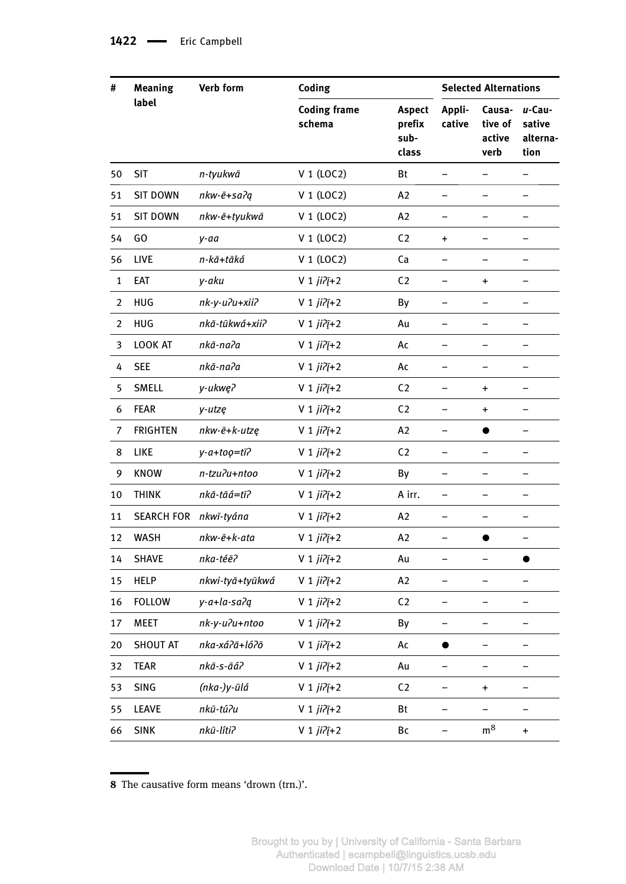| #              | <b>Meaning</b>    | Verb form                  | Coding                        |                                   | <b>Selected Alternations</b> |                                     |                                      |
|----------------|-------------------|----------------------------|-------------------------------|-----------------------------------|------------------------------|-------------------------------------|--------------------------------------|
|                | label             |                            | <b>Coding frame</b><br>schema | Aspect<br>prefix<br>sub-<br>class | Appli-<br>cative             | Causa-<br>tive of<br>active<br>verb | u-Cau-<br>sative<br>alterna-<br>tion |
| 50             | <b>SIT</b>        | n-tyukwā                   | V 1 (LOC2)                    | Bt                                |                              |                                     |                                      |
| 51             | <b>SIT DOWN</b>   | nkw-ē+saʔg                 | V 1 (LOC2)                    | A2                                | -                            | -                                   | $\qquad \qquad -$                    |
| 51             | <b>SIT DOWN</b>   | nkw-ē+tyukwā               | V 1 $(LOC2)$                  | A2                                | -                            | -                                   | $\overline{\phantom{0}}$             |
| 54             | GO                | $V$ -aa                    | V 1 $(LOC2)$                  | C <sub>2</sub>                    | $\ddot{}$                    | -                                   | $\overline{\phantom{0}}$             |
| 56             | LIVE              | n-kā+tāká                  | V 1 (LOC2)                    | Сa                                | $\qquad \qquad -$            | -                                   | $\qquad \qquad -$                    |
| $\mathbf{1}$   | EAT               | y-aku                      | $V 1 j i 7 i + 2$             | C <sub>2</sub>                    |                              | +                                   |                                      |
| $\overline{2}$ | <b>HUG</b>        | nk-y-u?u+xii?              | $V 1 ji 7i + 2$               | Вy                                | -                            |                                     |                                      |
| $\overline{2}$ | <b>HUG</b>        | nkā-tūkwá+xiiʔ             | $V 1 j i 7 i + 2$             | Au                                |                              |                                     |                                      |
| 3              | LOOK AT           | nkā-naʔa                   | $V 1 j i 7 j + 2$             | Ac                                | $\overline{\phantom{0}}$     | $\overline{a}$                      | $\overline{a}$                       |
| 4              | <b>SEE</b>        | nkā-naʔa                   | $V 1 j i 7 i + 2$             | Ac                                | -                            |                                     |                                      |
| 5              | <b>SMELL</b>      | y-ukwę?                    | $V 1 j i 7 i + 2$             | C <sub>2</sub>                    |                              | +                                   |                                      |
| 6              | <b>FEAR</b>       | y-utzę                     | $V 1 j i 7 i + 2$             | C <sub>2</sub>                    | $\overline{a}$               | $\ddot{}$                           | $\overline{\phantom{0}}$             |
| 7              | <b>FRIGHTEN</b>   | nkw-ē+k-utzę               | $V 1 j i 7 i + 2$             | A <sub>2</sub>                    | -                            |                                     |                                      |
| 8              | LIKE              | $y-a+to\varphi=t\bar{i}$ ? | $V 1 j i 7 i + 2$             | C <sub>2</sub>                    | -                            |                                     | $\overline{\phantom{0}}$             |
| 9              | <b>KNOW</b>       | n-tzuʔu+ntoo               | $V 1 j i 7 i + 2$             | By                                | $\overline{a}$               |                                     | $\equiv$                             |
| 10             | <b>THINK</b>      | nkā-tāá=tīʔ                | $V 1 j i 7 i + 2$             | A irr.                            | -                            | -                                   |                                      |
| 11             | <b>SEARCH FOR</b> | nkwī-tyána                 | $V 1 j i 7 j + 2$             | A2                                | -                            |                                     |                                      |
| 12             | <b>WASH</b>       | nkw-ē+k-ata                | $V 1 ji 7i + 2$               | A2                                |                              |                                     |                                      |
| 14             | <b>SHAVE</b>      | nka-téē?                   | $V 1 j i 7 i + 2$             | Au                                | -                            | -                                   |                                      |
| 15             | <b>HELP</b>       | nkwi-tyā+tyūkwá            | $V 1 j i 7 i + 2$             | А2                                | $\overline{a}$               | $\overline{a}$                      |                                      |
| 16             | <b>FOLLOW</b>     | y-a+la-sa?ą                | $V 1 j i 7 i + 2$             | C <sub>2</sub>                    | -                            |                                     |                                      |
| 17             | <b>MEET</b>       | nk-y-uʔu+ntoo              | $V 1 j i 7 i + 2$             | Вy                                |                              |                                     |                                      |
| 20             | SHOUT AT          | nka-xáʔā+lóʔō              | $V 1 ji 7i + 2$               | Ac                                | $\bullet$                    |                                     |                                      |
| 32             | <b>TEAR</b>       | nkā-s-āáʔ                  | $V 1 j i 7 i + 2$             | Au                                | -                            | -                                   | -                                    |
| 53             | <b>SING</b>       | (nka-)y-ūlá                | $V 1 j i 7 i + 2$             | C <sub>2</sub>                    | $\overline{\phantom{0}}$     | +                                   |                                      |
| 55             | <b>LEAVE</b>      | nkū-túʔu                   | $V 1 j i 7 i + 2$             | Bt                                | $\overline{a}$               |                                     | $\overline{\phantom{0}}$             |
| 66             | <b>SINK</b>       | nkū-lítiʔ                  | $V 1 j i 7 i + 2$             | Вc                                | $\overline{\phantom{0}}$     | m <sup>8</sup>                      | $\ddot{}$                            |

**8** The causative form means 'drown (trn.)'.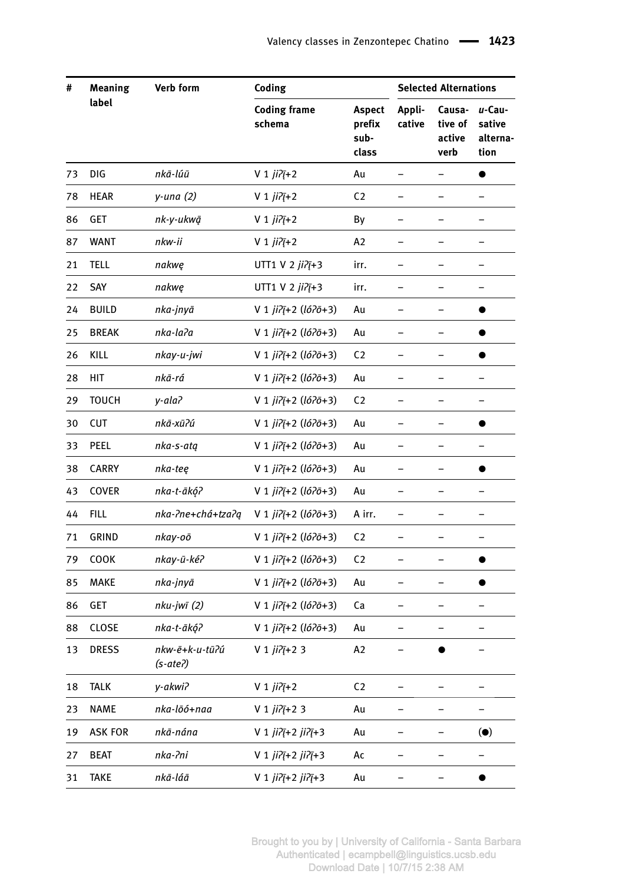| #  | <b>Meaning</b> | Verb form                  | Coding                        |                                   | <b>Selected Alternations</b> |                                     |                                      |
|----|----------------|----------------------------|-------------------------------|-----------------------------------|------------------------------|-------------------------------------|--------------------------------------|
|    | label          |                            | <b>Coding frame</b><br>schema | Aspect<br>prefix<br>sub-<br>class | Appli-<br>cative             | Causa-<br>tive of<br>active<br>verb | u-Cau-<br>sative<br>alterna-<br>tion |
| 73 | <b>DIG</b>     | nkā-lúū                    | $V 1 ji 7i + 2$               | Au                                |                              | -                                   | $\bullet$                            |
| 78 | HEAR           | $y$ -una $(2)$             | $V 1 ji 7i + 2$               | C <sub>2</sub>                    | -                            |                                     |                                      |
| 86 | GET            | nk-y-ukwā                  | $V 1 ji 7i + 2$               | Вy                                | -                            |                                     |                                      |
| 87 | <b>WANT</b>    | nkw-ii                     | $V 1 ji 7i + 2$               | A2                                | -                            |                                     |                                      |
| 21 | <b>TELL</b>    | nakwę                      | UTT1 V 2 $ji2\bar{i}+3$       | irr.                              |                              |                                     |                                      |
| 22 | SAY            | nakwę                      | UTT1 V 2 $ji7i+3$             | irr.                              |                              |                                     |                                      |
| 24 | <b>BUILD</b>   | nka-jnyā                   | $V 1 j i 7 i + 2 (1675 + 3)$  | Au                                | -                            |                                     | O                                    |
| 25 | <b>BREAK</b>   | nka-la?a                   | $V 1 ji 7i+2 (167i+3)$        | Au                                | $\overline{\phantom{0}}$     |                                     | ●                                    |
| 26 | KILL           | nkay-u-jwi                 | $V 1 ji 7i+2 (167i+3)$        | C <sub>2</sub>                    | -                            |                                     |                                      |
| 28 | HIT            | nkā-rá                     | $V 1 ji 7i+2 (167i+3)$        | Au                                | -                            | -                                   |                                      |
| 29 | <b>TOUCH</b>   | y-ala?                     | $V 1 ji 7i+2 (167i+3)$        | C <sub>2</sub>                    |                              |                                     |                                      |
| 30 | <b>CUT</b>     | nkā-xūʔú                   | $V 1 ji 7i+2 (167i+3)$        | Au                                | -                            |                                     |                                      |
| 33 | PEEL           | nka-s-ata                  | $V 1 ji 7i+2 (167i+3)$        | Au                                | -                            |                                     |                                      |
| 38 | <b>CARRY</b>   | nka-teę                    | $V 1 j i 7 i + 2 (1675 + 3)$  | Au                                | -                            |                                     |                                      |
| 43 | <b>COVER</b>   | nka-t-ākó?                 | $V 1 j i 7 i + 2 (1675 + 3)$  | Au                                | -                            |                                     |                                      |
| 44 | FILL           | nka-?ne+chá+tza?g          | $V 1 ji 7i+2 (167i+3)$        | A irr.                            |                              |                                     |                                      |
| 71 | <b>GRIND</b>   | nkay-oō                    | $V 1 ji 7i+2 (167i+3)$        | C <sub>2</sub>                    |                              |                                     |                                      |
| 79 | <b>COOK</b>    | nkay-ū-ké?                 | $V 1 j i 7 j + 2 (1675 + 3)$  | C <sub>2</sub>                    | -                            |                                     |                                      |
| 85 | MAKE           | nka-jnyā                   | $V 1 ji 7i+2 (167i+3)$        | Au                                | -                            | -                                   |                                      |
| 86 | GET            | nku-jwī (2)                | $V 1 ji 7i+2 (167i+3)$        | Ca                                |                              |                                     |                                      |
| 88 | CLOSE          | nka-t-ākó?                 | $V 1 ji 7i+2 (167i+3)$        | Au                                | -                            |                                     |                                      |
| 13 | <b>DRESS</b>   | nkw-ē+k-u-tūʔú<br>(s-ateʔ) | $V 1 j i 7 i + 2 3$           | A2                                | -                            |                                     | -                                    |
| 18 | <b>TALK</b>    | y-akwi?                    | $V 1 ji 7i+2$                 | C <sub>2</sub>                    |                              |                                     |                                      |
| 23 | <b>NAME</b>    | nka-lōó+naa                | $V 1 ji 7i + 2 3$             | Au                                | -                            |                                     |                                      |
| 19 | <b>ASK FOR</b> | nkā-nána                   | $V 1 j i 7 i + 2 j i 7 i + 3$ | Au                                |                              |                                     | $\left( \bullet \right)$             |
| 27 | <b>BEAT</b>    | nka-?ni                    | $V 1 j i 7 j + 2 j i 7 j + 3$ | Ac                                |                              |                                     |                                      |
| 31 | <b>TAKE</b>    | nkā-láā                    | $V 1 j i 7 i + 2 j i 7 i + 3$ | Au                                |                              |                                     | D                                    |
|    |                |                            |                               |                                   |                              |                                     |                                      |

Brought to you by | University of California - Santa Barbara Authenticated | ecampbell@linguistics.ucsb.edu Download Date | 10/7/15 2:38 AM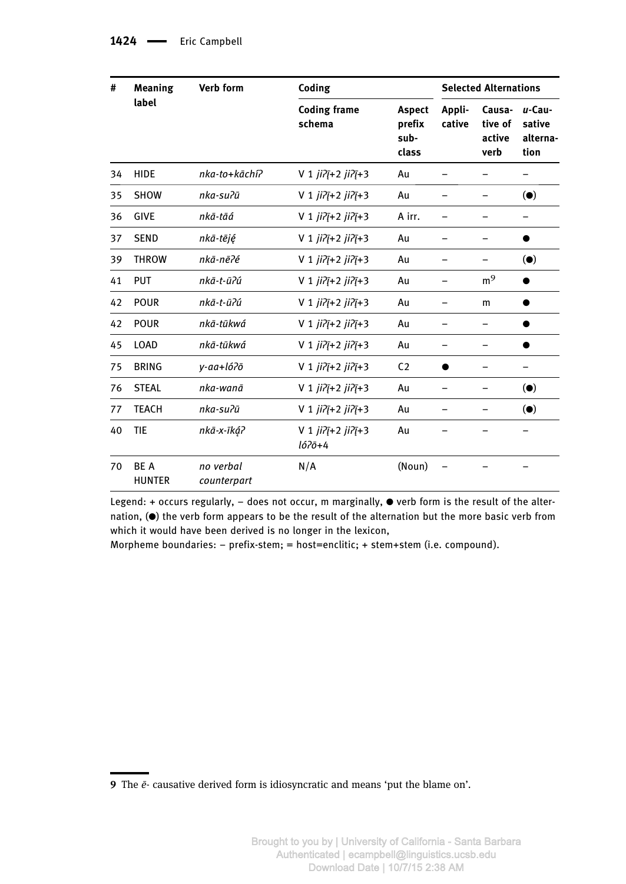| #  | <b>Meaning</b>              | Verb form                | Coding                                       |                                   | <b>Selected Alternations</b> |                                     |                                      |
|----|-----------------------------|--------------------------|----------------------------------------------|-----------------------------------|------------------------------|-------------------------------------|--------------------------------------|
|    | label                       |                          | <b>Coding frame</b><br>schema                | Aspect<br>prefix<br>sub-<br>class | Appli-<br>cative             | Causa-<br>tive of<br>active<br>verb | u-Cau-<br>sative<br>alterna-<br>tion |
| 34 | <b>HIDE</b>                 | nka-to+kāchí?            | $V 1 j i 7 i + 2 j i 7 i + 3$                | Au                                |                              |                                     |                                      |
| 35 | <b>SHOW</b>                 | nka-suʔū                 | $V 1$ ji? $\bar{l}+2$ ji? $\bar{l}+3$        | Au                                |                              |                                     | $\left( \bullet \right)$             |
| 36 | <b>GIVE</b>                 | nkā-tāá                  | $V 1$ ji? $\bar{l}+2$ ji? $\bar{l}+3$        | A irr.                            |                              |                                     |                                      |
| 37 | <b>SEND</b>                 | nkā-tēję                 | $V 1$ ji? $\bar{l}+2$ ji? $\bar{l}+3$        | Au                                |                              |                                     |                                      |
| 39 | <b>THROW</b>                | nkā-nē?é                 | $V 1$ ji? $\bar{l}+2$ ji? $\bar{l}+3$        | Au                                |                              |                                     | $\left( \bullet \right)$             |
| 41 | <b>PUT</b>                  | nkā-t-ūʔú                | $V 1$ ji? $\bar{l}+2$ ji? $\bar{l}+3$        | Au                                | -                            | m <sup>9</sup>                      |                                      |
| 42 | <b>POUR</b>                 | nkā-t-ūʔú                | $V 1$ $ii7\bar{i}+2$ $ii7\bar{i}+3$          | Au                                |                              | m                                   |                                      |
| 42 | <b>POUR</b>                 | nkā-tūkwá                | $V 1$ ji? $\bar{l}+2$ ji? $\bar{l}+3$        | Au                                |                              |                                     |                                      |
| 45 | LOAD                        | nkā-tūkwá                | $V 1$ ji? $\bar{l}+2$ ji? $\bar{l}+3$        | Au                                |                              |                                     |                                      |
| 75 | <b>BRING</b>                | y-aa+ló?ō                | $V 1$ ji? $\bar{l}+2$ ji? $\bar{l}+3$        | C <sub>2</sub>                    |                              |                                     |                                      |
| 76 | <b>STEAL</b>                | nka-wanā                 | $V 1$ ji? $\bar{l}+2$ ji? $\bar{l}+3$        | Au                                |                              |                                     | (                                    |
| 77 | <b>TEACH</b>                | nka-suʔū                 | $V 1 ji 7i+2 ji 7i+3$                        | Au                                |                              |                                     | $\left( \bullet \right)$             |
| 40 | <b>TIE</b>                  | nkā-x-īká?               | $V 1 ji 7i+2 ji 7i+3$<br>$167\overline{0}+4$ | Au                                |                              |                                     |                                      |
| 70 | <b>BEA</b><br><b>HUNTER</b> | no verbal<br>counterpart | N/A                                          | (Noun)                            |                              |                                     |                                      |

Legend: + occurs regularly, - does not occur, m marginally,  $\bullet$  verb form is the result of the alternation, (●) the verb form appears to be the result of the alternation but the more basic verb from which it would have been derived is no longer in the lexicon,

Morpheme boundaries: − prefix-stem; = host=enclitic; + stem+stem (i.e. compound).

**<sup>9</sup>** The *ē*- causative derived form is idiosyncratic and means 'put the blame on'.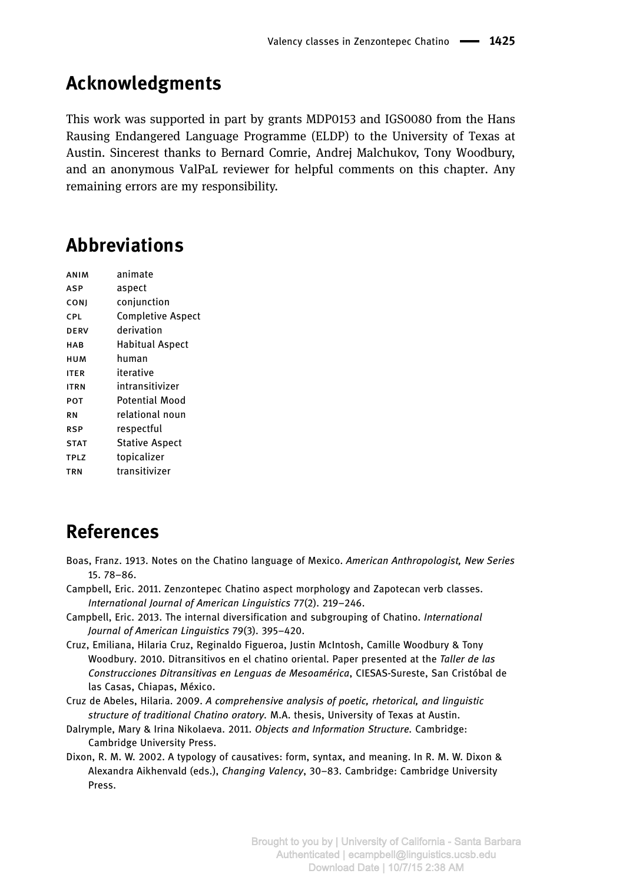# **Acknowledgments**

This work was supported in part by grants MDP0153 and IGS0080 from the Hans Rausing Endangered Language Programme (ELDP) to the University of Texas at Austin. Sincerest thanks to Bernard Comrie, Andrej Malchukov, Tony Woodbury, and an anonymous ValPaL reviewer for helpful comments on this chapter. Any remaining errors are my responsibility.

# **Abbreviations**

| ANIM        | animate                  |
|-------------|--------------------------|
| ASP         | aspect                   |
| <b>CONJ</b> | conjunction              |
| CPL         | <b>Completive Aspect</b> |
| <b>DERV</b> | derivation               |
| HAB         | Habitual Aspect          |
| ним         | human                    |
| <b>ITER</b> | iterative                |
| <b>ITRN</b> | intransitivizer          |
| POT         | <b>Potential Mood</b>    |
| <b>RN</b>   | relational noun          |
| <b>RSP</b>  | respectful               |
| <b>STAT</b> | <b>Stative Aspect</b>    |
| TPLZ        | topicalizer              |
| <b>TRN</b>  | transitivizer            |
|             |                          |

# **References**

- Boas, Franz. 1913. Notes on the Chatino language of Mexico. *American Anthropologist, New Series* 15. 78–86.
- Campbell, Eric. 2011. Zenzontepec Chatino aspect morphology and Zapotecan verb classes. *International Journal of American Linguistics* 77(2). 219–246.
- Campbell, Eric. 2013. The internal diversification and subgrouping of Chatino. *International Journal of American Linguistics* 79(3). 395–420.
- Cruz, Emiliana, Hilaria Cruz, Reginaldo Figueroa, Justin McIntosh, Camille Woodbury & Tony Woodbury. 2010. Ditransitivos en el chatino oriental. Paper presented at the *Taller de las Construcciones Ditransitivas en Lenguas de Mesoamérica*, CIESAS-Sureste, San Cristóbal de las Casas, Chiapas, México.
- Cruz de Abeles, Hilaria. 2009. *A comprehensive analysis of poetic, rhetorical, and linguistic structure of traditional Chatino oratory.* M.A. thesis, University of Texas at Austin.
- Dalrymple, Mary & Irina Nikolaeva. 2011. *Objects and Information Structure.* Cambridge: Cambridge University Press.
- Dixon, R. M. W. 2002. A typology of causatives: form, syntax, and meaning. In R. M. W. Dixon & Alexandra Aikhenvald (eds.), *Changing Valency*, 30–83. Cambridge: Cambridge University Press.